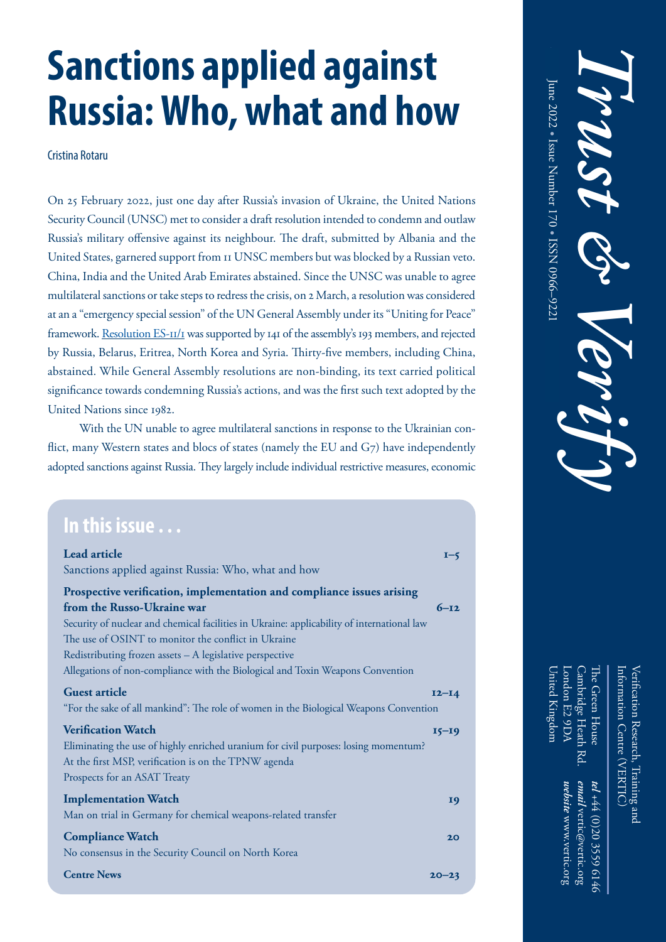# **Russia: Who, what and how Sanctions applied against Russia: Who, what and how**

Cristina Rotaru

On 25 February 2022, just one day after Russia's invasion of Ukraine, the United Nations Security Council (UNSC) met to consider a draft resolution intended to condemn and outlaw Russia's military offensive against its neighbour. The draft, submitted by Albania and the United States, garnered support from 11 UNSC members but was blocked by a Russian veto. China, India and the United Arab Emirates abstained. Since the UNSC was unable to agree multilateral sanctions or take steps to redress the crisis, on 2 March, a resolution was considered at an a "emergency special session" of the UN General Assembly under its "Uniting for Peace" framework. <u>Resolution ES-11/1</u> was supported by 141 of the assembly's 193 members, and rejected by Russia, Belarus, Eritrea, North Korea and Syria. Thirty-five members, including China, a<br>bstained. While General Assembly resolutions are non-binding, its text carried political significance towards condemning Russia's actions, and was the first such text adopted by the prehending them. By Trust & Verify No. 17, the Soviet United Nations since 1982.

 $\frac{1}{2}$  $\frac{1}{\sqrt{2}}$  course, the transformation of the transformation of the transformation of the transformation of the transformation of the transformation of the transformation of the transformation of the transformation of th  $\mathcal{L}_{\text{max}}$  is the following was elected South African president. His government would be a set of  $\mathcal{L}_{\text{max}}$ adopted sanctions against Russia. They largely include individual restrictive measures, economic With the UN unable to agree multilateral sanctions in response to the Ukrainian conflict, many Western states and blocs of states (namely the EU and G7) have independently

be completed by the time Nelson Mandela was elected president in 1994.

| $\blacksquare$ In this issue $\ldots$ |  |  |
|---------------------------------------|--|--|
|                                       |  |  |
|                                       |  |  |
|                                       |  |  |
|                                       |  |  |
|                                       |  |  |

| Lead article<br>$I - 5$                                                                    |
|--------------------------------------------------------------------------------------------|
| Sanctions applied against Russia: Who, what and how                                        |
| Prospective verification, implementation and compliance issues arising                     |
| from the Russo-Ukraine war<br>$6 - 12$                                                     |
| Security of nuclear and chemical facilities in Ukraine: applicability of international law |
| The use of OSINT to monitor the conflict in Ukraine                                        |
| Redistributing frozen assets - A legislative perspective                                   |
| Allegations of non-compliance with the Biological and Toxin Weapons Convention             |
| <b>Guest article</b><br>$I2-I4$                                                            |
| "For the sake of all mankind": The role of women in the Biological Weapons Convention      |
| <b>Verification Watch</b><br>$I5-I9$                                                       |
| Eliminating the use of highly enriched uranium for civil purposes: losing momentum?        |
| At the first MSP, verification is on the TPNW agenda                                       |
| Prospects for an ASAT Treaty                                                               |
| <b>Implementation Watch</b><br>19                                                          |
| Man on trial in Germany for chemical weapons-related transfer                              |
| <b>Compliance Watch</b><br>20                                                              |
| No consensus in the Security Council on North Korea                                        |
| <b>Centre News</b><br>$20 - 23$                                                            |

United Kingdom London E2 9DA Cambridge Heath Rd. The Green House Verification Research, Training and Information Centre (VERTIC) Cambridge Heath Information Centre (VERTIC) Jnited Kingdom Ihe Green House *V*erification Research, Training and ondon E2 9DA  $\aleph$ website www.vertic.org email vertic@vertic.org tel +44 (0)20 3559 6146 *website* www.vertic.org *email* vertic@vertic.org *tel* +44 (0)20 3559 6146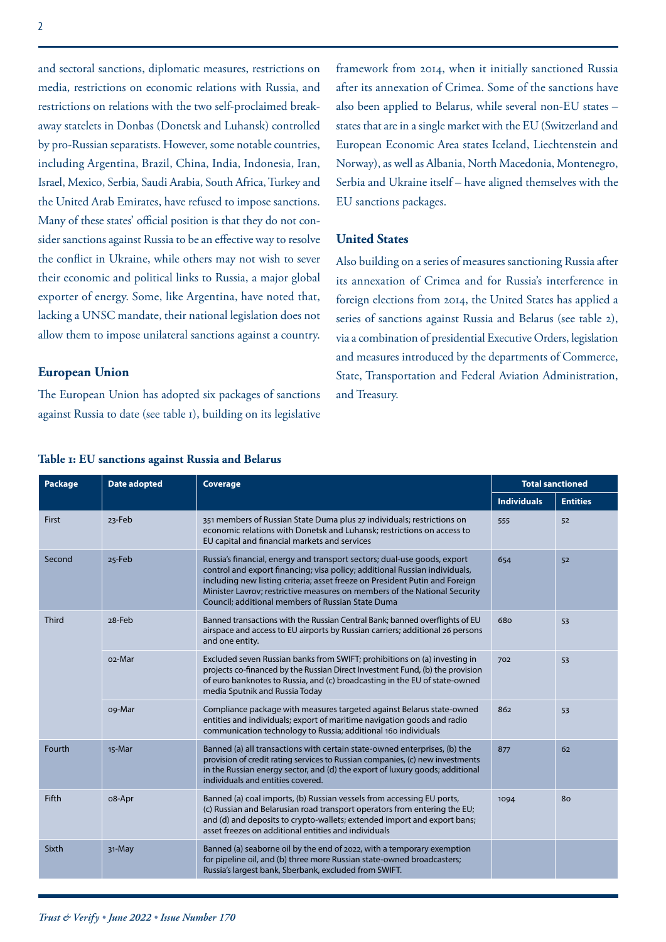and sectoral sanctions, diplomatic measures, restrictions on media, restrictions on economic relations with Russia, and restrictions on relations with the two self-proclaimed breakaway statelets in Donbas (Donetsk and Luhansk) controlled by pro-Russian separatists. However, some notable countries, including Argentina, Brazil, China, India, Indonesia, Iran, Israel, Mexico, Serbia, Saudi Arabia, South Africa, Turkey and the United Arab Emirates, have refused to impose sanctions. Many of these states' official position is that they do not consider sanctions against Russia to be an effective way to resolve the conflict in Ukraine, while others may not wish to sever their economic and political links to Russia, a major global exporter of energy. Some, like Argentina, have noted that, lacking a UNSC mandate, their national legislation does not allow them to impose unilateral sanctions against a country.

#### **European Union**

The European Union has adopted six packages of sanctions against Russia to date (see table 1), building on its legislative framework from 2014, when it initially sanctioned Russia after its annexation of Crimea. Some of the sanctions have also been applied to Belarus, while several non-EU states – states that are in a single market with the EU (Switzerland and European Economic Area states Iceland, Liechtenstein and Norway), as well as Albania, North Macedonia, Montenegro, Serbia and Ukraine itself – have aligned themselves with the EU sanctions packages.

#### **United States**

Also building on a series of measures sanctioning Russia after its annexation of Crimea and for Russia's interference in foreign elections from 2014, the United States has applied a series of sanctions against Russia and Belarus (see table 2), via a combination of presidential Executive Orders, legislation and measures introduced by the departments of Commerce, State, Transportation and Federal Aviation Administration, and Treasury.

| <b>Package</b> | <b>Date adopted</b> | <b>Coverage</b>                                                                                                                                                                                                                                                                                                                                                         | <b>Total sanctioned</b> |                 |
|----------------|---------------------|-------------------------------------------------------------------------------------------------------------------------------------------------------------------------------------------------------------------------------------------------------------------------------------------------------------------------------------------------------------------------|-------------------------|-----------------|
|                |                     |                                                                                                                                                                                                                                                                                                                                                                         | <b>Individuals</b>      | <b>Entities</b> |
| <b>First</b>   | 23-Feb              | 351 members of Russian State Duma plus 27 individuals; restrictions on<br>economic relations with Donetsk and Luhansk; restrictions on access to<br>EU capital and financial markets and services                                                                                                                                                                       | 555                     | 52              |
| Second         | 25-Feb              | Russia's financial, energy and transport sectors; dual-use goods, export<br>control and export financing; visa policy; additional Russian individuals,<br>including new listing criteria; asset freeze on President Putin and Foreign<br>Minister Lavrov; restrictive measures on members of the National Security<br>Council; additional members of Russian State Duma | 654                     | 52              |
| <b>Third</b>   | 28-Feb              | Banned transactions with the Russian Central Bank; banned overflights of EU<br>airspace and access to EU airports by Russian carriers; additional 26 persons<br>and one entity.                                                                                                                                                                                         | 680                     | 53              |
|                | o <sub>2</sub> -Mar | Excluded seven Russian banks from SWIFT; prohibitions on (a) investing in<br>projects co-financed by the Russian Direct Investment Fund, (b) the provision<br>of euro banknotes to Russia, and (c) broadcasting in the EU of state-owned<br>media Sputnik and Russia Today                                                                                              | 702                     | 53              |
|                | o9-Mar              | Compliance package with measures targeted against Belarus state-owned<br>entities and individuals; export of maritime navigation goods and radio<br>communication technology to Russia; additional 160 individuals                                                                                                                                                      | 862                     | 53              |
| Fourth         | 15-Mar              | Banned (a) all transactions with certain state-owned enterprises, (b) the<br>provision of credit rating services to Russian companies, (c) new investments<br>in the Russian energy sector, and (d) the export of luxury goods; additional<br>individuals and entities covered.                                                                                         | 877                     | 62              |
| <b>Fifth</b>   | o8-Apr              | Banned (a) coal imports, (b) Russian vessels from accessing EU ports,<br>(c) Russian and Belarusian road transport operators from entering the EU;<br>and (d) and deposits to crypto-wallets; extended import and export bans;<br>asset freezes on additional entities and individuals                                                                                  | 1094                    | 80              |
| Sixth          | 31-May              | Banned (a) seaborne oil by the end of 2022, with a temporary exemption<br>for pipeline oil, and (b) three more Russian state-owned broadcasters;<br>Russia's largest bank, Sberbank, excluded from SWIFT.                                                                                                                                                               |                         |                 |

#### **Table 1: EU sanctions against Russia and Belarus**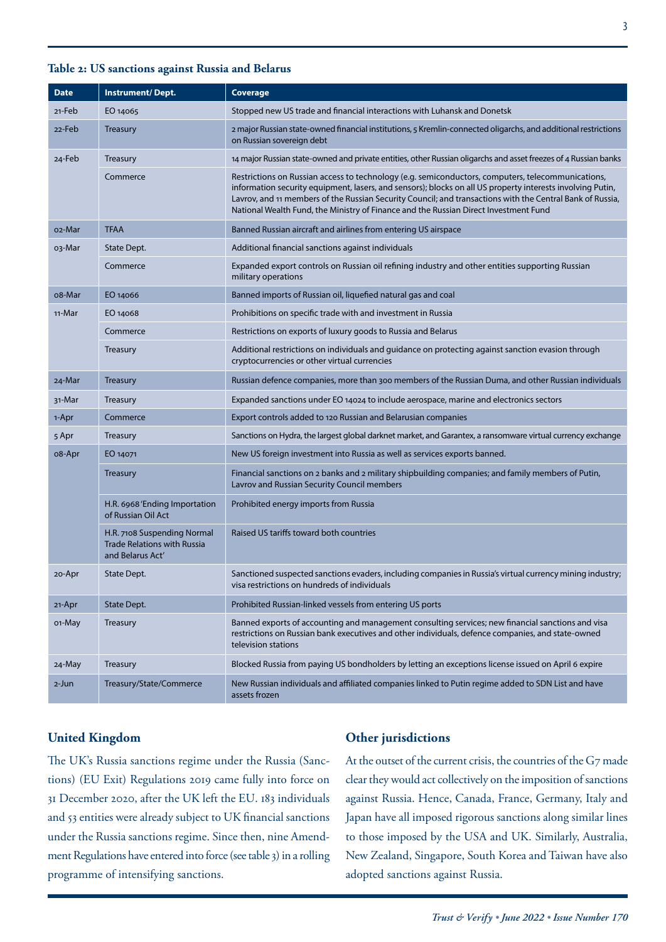| <b>Date</b> | <b>Instrument/Dept.</b>                                                               | Coverage                                                                                                                                                                                                                                                                                                                                                                                                             |
|-------------|---------------------------------------------------------------------------------------|----------------------------------------------------------------------------------------------------------------------------------------------------------------------------------------------------------------------------------------------------------------------------------------------------------------------------------------------------------------------------------------------------------------------|
| 21-Feb      | EO 14065                                                                              | Stopped new US trade and financial interactions with Luhansk and Donetsk                                                                                                                                                                                                                                                                                                                                             |
| 22-Feb      | <b>Treasury</b>                                                                       | 2 major Russian state-owned financial institutions, 5 Kremlin-connected oligarchs, and additional restrictions<br>on Russian sovereign debt                                                                                                                                                                                                                                                                          |
| 24-Feb      | <b>Treasury</b>                                                                       | 14 major Russian state-owned and private entities, other Russian oligarchs and asset freezes of 4 Russian banks                                                                                                                                                                                                                                                                                                      |
|             | Commerce                                                                              | Restrictions on Russian access to technology (e.g. semiconductors, computers, telecommunications,<br>information security equipment, lasers, and sensors); blocks on all US property interests involving Putin,<br>Lavrov, and 11 members of the Russian Security Council; and transactions with the Central Bank of Russia,<br>National Wealth Fund, the Ministry of Finance and the Russian Direct Investment Fund |
| 02-Mar      | <b>TFAA</b>                                                                           | Banned Russian aircraft and airlines from entering US airspace                                                                                                                                                                                                                                                                                                                                                       |
| 03-Mar      | State Dept.                                                                           | Additional financial sanctions against individuals                                                                                                                                                                                                                                                                                                                                                                   |
|             | Commerce                                                                              | Expanded export controls on Russian oil refining industry and other entities supporting Russian<br>military operations                                                                                                                                                                                                                                                                                               |
| o8-Mar      | EO 14066                                                                              | Banned imports of Russian oil, liquefied natural gas and coal                                                                                                                                                                                                                                                                                                                                                        |
| 11-Mar      | EO 14068                                                                              | Prohibitions on specific trade with and investment in Russia                                                                                                                                                                                                                                                                                                                                                         |
|             | Commerce                                                                              | Restrictions on exports of luxury goods to Russia and Belarus                                                                                                                                                                                                                                                                                                                                                        |
|             | Treasury                                                                              | Additional restrictions on individuals and guidance on protecting against sanction evasion through<br>cryptocurrencies or other virtual currencies                                                                                                                                                                                                                                                                   |
| 24-Mar      | <b>Treasury</b>                                                                       | Russian defence companies, more than 300 members of the Russian Duma, and other Russian individuals                                                                                                                                                                                                                                                                                                                  |
| 31-Mar      | Treasury                                                                              | Expanded sanctions under EO 14024 to include aerospace, marine and electronics sectors                                                                                                                                                                                                                                                                                                                               |
| 1-Apr       | Commerce                                                                              | Export controls added to 120 Russian and Belarusian companies                                                                                                                                                                                                                                                                                                                                                        |
| 5 Apr       | Treasury                                                                              | Sanctions on Hydra, the largest global darknet market, and Garantex, a ransomware virtual currency exchange                                                                                                                                                                                                                                                                                                          |
| o8-Apr      | EO 14071                                                                              | New US foreign investment into Russia as well as services exports banned.                                                                                                                                                                                                                                                                                                                                            |
|             | <b>Treasury</b>                                                                       | Financial sanctions on 2 banks and 2 military shipbuilding companies; and family members of Putin,<br>Lavrov and Russian Security Council members                                                                                                                                                                                                                                                                    |
|             | H.R. 6968 'Ending Importation<br>of Russian Oil Act                                   | Prohibited energy imports from Russia                                                                                                                                                                                                                                                                                                                                                                                |
|             | H.R. 7108 Suspending Normal<br><b>Trade Relations with Russia</b><br>and Belarus Act' | Raised US tariffs toward both countries                                                                                                                                                                                                                                                                                                                                                                              |
| 20-Apr      | State Dept.                                                                           | Sanctioned suspected sanctions evaders, including companies in Russia's virtual currency mining industry;<br>visa restrictions on hundreds of individuals                                                                                                                                                                                                                                                            |
| 21-Apr      | State Dept.                                                                           | Prohibited Russian-linked vessels from entering US ports                                                                                                                                                                                                                                                                                                                                                             |
| o1-May      | Treasury                                                                              | Banned exports of accounting and management consulting services; new financial sanctions and visa<br>restrictions on Russian bank executives and other individuals, defence companies, and state-owned<br>television stations                                                                                                                                                                                        |
| 24-May      | Treasury                                                                              | Blocked Russia from paying US bondholders by letting an exceptions license issued on April 6 expire                                                                                                                                                                                                                                                                                                                  |
| 2-Jun       | Treasury/State/Commerce                                                               | New Russian individuals and affiliated companies linked to Putin regime added to SDN List and have<br>assets frozen                                                                                                                                                                                                                                                                                                  |

#### **United Kingdom**

The UK's Russia sanctions regime under the Russia (Sanctions) (EU Exit) Regulations 2019 came fully into force on 31 December 2020, after the UK left the EU. 183 individuals and 53 entities were already subject to UK financial sanctions under the Russia sanctions regime. Since then, nine Amendment Regulations have entered into force (see table 3) in a rolling programme of intensifying sanctions.

#### **Other jurisdictions**

At the outset of the current crisis, the countries of the G7 made clear they would act collectively on the imposition of sanctions against Russia. Hence, Canada, France, Germany, Italy and Japan have all imposed rigorous sanctions along similar lines to those imposed by the USA and UK. Similarly, Australia, New Zealand, Singapore, South Korea and Taiwan have also adopted sanctions against Russia.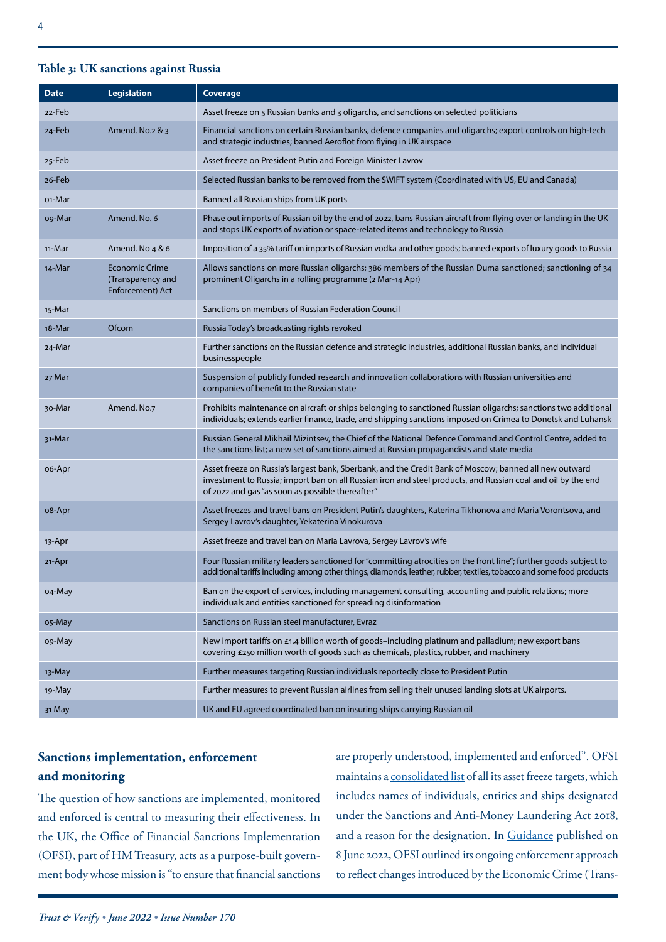### **Table 3: UK sanctions against Russia**

| <b>Date</b> | <b>Legislation</b>                                             | Coverage                                                                                                                                                                                                                                                                   |
|-------------|----------------------------------------------------------------|----------------------------------------------------------------------------------------------------------------------------------------------------------------------------------------------------------------------------------------------------------------------------|
| 22-Feb      |                                                                | Asset freeze on 5 Russian banks and 3 oligarchs, and sanctions on selected politicians                                                                                                                                                                                     |
| 24-Feb      | Amend. No.2 & 3                                                | Financial sanctions on certain Russian banks, defence companies and oligarchs; export controls on high-tech<br>and strategic industries; banned Aeroflot from flying in UK airspace                                                                                        |
| 25-Feb      |                                                                | Asset freeze on President Putin and Foreign Minister Lavrov                                                                                                                                                                                                                |
| 26-Feb      |                                                                | Selected Russian banks to be removed from the SWIFT system (Coordinated with US, EU and Canada)                                                                                                                                                                            |
| 01-Mar      |                                                                | Banned all Russian ships from UK ports                                                                                                                                                                                                                                     |
| og-Mar      | Amend. No. 6                                                   | Phase out imports of Russian oil by the end of 2022, bans Russian aircraft from flying over or landing in the UK<br>and stops UK exports of aviation or space-related items and technology to Russia                                                                       |
| 11-Mar      | Amend. No 4 & 6                                                | Imposition of a 35% tariff on imports of Russian vodka and other goods; banned exports of luxury goods to Russia                                                                                                                                                           |
| 14-Mar      | <b>Economic Crime</b><br>(Transparency and<br>Enforcement) Act | Allows sanctions on more Russian oligarchs; 386 members of the Russian Duma sanctioned; sanctioning of 34<br>prominent Oligarchs in a rolling programme (2 Mar-14 Apr)                                                                                                     |
| 15-Mar      |                                                                | Sanctions on members of Russian Federation Council                                                                                                                                                                                                                         |
| 18-Mar      | Ofcom                                                          | Russia Today's broadcasting rights revoked                                                                                                                                                                                                                                 |
| 24-Mar      |                                                                | Further sanctions on the Russian defence and strategic industries, additional Russian banks, and individual<br>businesspeople                                                                                                                                              |
| 27 Mar      |                                                                | Suspension of publicly funded research and innovation collaborations with Russian universities and<br>companies of benefit to the Russian state                                                                                                                            |
| 30-Mar      | Amend. No.7                                                    | Prohibits maintenance on aircraft or ships belonging to sanctioned Russian oligarchs; sanctions two additional<br>individuals; extends earlier finance, trade, and shipping sanctions imposed on Crimea to Donetsk and Luhansk                                             |
| 31-Mar      |                                                                | Russian General Mikhail Mizintsev, the Chief of the National Defence Command and Control Centre, added to<br>the sanctions list; a new set of sanctions aimed at Russian propagandists and state media                                                                     |
| 06-Apr      |                                                                | Asset freeze on Russia's largest bank, Sberbank, and the Credit Bank of Moscow; banned all new outward<br>investment to Russia; import ban on all Russian iron and steel products, and Russian coal and oil by the end<br>of 2022 and gas "as soon as possible thereafter" |
| 08-Apr      |                                                                | Asset freezes and travel bans on President Putin's daughters, Katerina Tikhonova and Maria Vorontsova, and<br>Sergey Lavrov's daughter, Yekaterina Vinokurova                                                                                                              |
| 13-Apr      |                                                                | Asset freeze and travel ban on Maria Lavrova, Sergey Lavrov's wife                                                                                                                                                                                                         |
| 21-Apr      |                                                                | Four Russian military leaders sanctioned for "committing atrocities on the front line"; further goods subject to<br>additional tariffs including among other things, diamonds, leather, rubber, textiles, tobacco and some food products                                   |
| 04-May      |                                                                | Ban on the export of services, including management consulting, accounting and public relations; more<br>individuals and entities sanctioned for spreading disinformation                                                                                                  |
| o5-May      |                                                                | Sanctions on Russian steel manufacturer, Evraz                                                                                                                                                                                                                             |
| o9-May      |                                                                | New import tariffs on £1.4 billion worth of goods-including platinum and palladium; new export bans<br>covering £250 million worth of goods such as chemicals, plastics, rubber, and machinery                                                                             |
| 13-May      |                                                                | Further measures targeting Russian individuals reportedly close to President Putin                                                                                                                                                                                         |
| 19-May      |                                                                | Further measures to prevent Russian airlines from selling their unused landing slots at UK airports.                                                                                                                                                                       |
| 31 May      |                                                                | UK and EU agreed coordinated ban on insuring ships carrying Russian oil                                                                                                                                                                                                    |

## **Sanctions implementation, enforcement and monitoring**

The question of how sanctions are implemented, monitored and enforced is central to measuring their effectiveness. In the UK, the Office of Financial Sanctions Implementation (OFSI), part of HM Treasury, acts as a purpose-built government body whose mission is "to ensure that financial sanctions

are properly understood, implemented and enforced". OFSI maintains a [consolidated list](https://www.gov.uk/government/publications/financial-sanctions-consolidated-list-of-targets/consolidated-list-of-targets) of all its asset freeze targets, which includes names of individuals, entities and ships designated under the Sanctions and Anti-Money Laundering Act 2018, and a reason for the designation. In [Guidance](https://assets.publishing.service.gov.uk/government/uploads/system/uploads/attachment_data/file/1081197/OFSI_Enforcement_guidance_June_2022.pdf) published on 8 June 2022, OFSI outlined its ongoing enforcement approach to reflect changes introduced by the Economic Crime (Trans-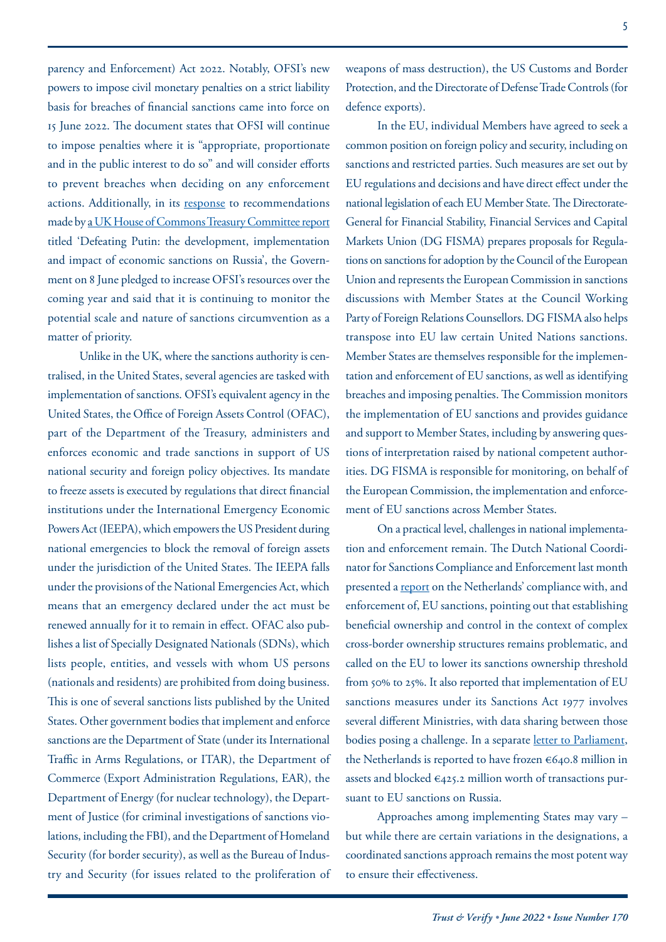parency and Enforcement) Act 2022. Notably, OFSI's new powers to impose civil monetary penalties on a strict liability basis for breaches of financial sanctions came into force on 15 June 2022. The document states that OFSI will continue to impose penalties where it is "appropriate, proportionate and in the public interest to do so" and will consider efforts to prevent breaches when deciding on any enforcement actions. Additionally, in its [response](https://committees.parliament.uk/committee/158/treasury-committee/news/171314/treasury-committee-publishes-government-response-to-report-on-impact-of-russian-sanctions/) to recommendations made by a UK House of Commons Treasury Committee report titled 'Defeating Putin: the development, implementation and impact of economic sanctions on Russia', the Government on 8 June pledged to increase OFSI's resources over the coming year and said that it is continuing to monitor the potential scale and nature of sanctions circumvention as a matter of priority.

Unlike in the UK, where the sanctions authority is centralised, in the United States, several agencies are tasked with implementation of sanctions. OFSI's equivalent agency in the United States, the Office of Foreign Assets Control (OFAC), part of the Department of the Treasury, administers and enforces economic and trade sanctions in support of US national security and foreign policy objectives. Its mandate to freeze assets is executed by regulations that direct financial institutions under the International Emergency Economic Powers Act (IEEPA), which empowers the US President during national emergencies to block the removal of foreign assets under the jurisdiction of the United States. The IEEPA falls under the provisions of the National Emergencies Act, which means that an emergency declared under the act must be renewed annually for it to remain in effect. OFAC also publishes a list of Specially Designated Nationals (SDNs), which lists people, entities, and vessels with whom US persons (nationals and residents) are prohibited from doing business. This is one of several sanctions lists published by the United States. Other government bodies that implement and enforce sanctions are the Department of State (under its International Traffic in Arms Regulations, or ITAR), the Department of Commerce (Export Administration Regulations, EAR), the Department of Energy (for nuclear technology), the Department of Justice (for criminal investigations of sanctions violations, including the FBI), and the Department of Homeland Security (for border security), as well as the Bureau of Industry and Security (for issues related to the proliferation of weapons of mass destruction), the US Customs and Border Protection, and the Directorate of Defense Trade Controls (for defence exports).

In the EU, individual Members have agreed to seek a common position on foreign policy and security, including on sanctions and restricted parties. Such measures are set out by EU regulations and decisions and have direct effect under the national legislation of each EU Member State. The Directorate-General for Financial Stability, Financial Services and Capital Markets Union (DG FISMA) prepares proposals for Regulations on sanctions for adoption by the Council of the European Union and represents the European Commission in sanctions discussions with Member States at the Council Working Party of Foreign Relations Counsellors. DG FISMA also helps transpose into EU law certain United Nations sanctions. Member States are themselves responsible for the implementation and enforcement of EU sanctions, as well as identifying breaches and imposing penalties. The Commission monitors the implementation of EU sanctions and provides guidance and support to Member States, including by answering questions of interpretation raised by national competent authorities. DG FISMA is responsible for monitoring, on behalf of the European Commission, the implementation and enforcement of EU sanctions across Member States.

On a practical level, challenges in national implementation and enforcement remain. The Dutch National Coordinator for Sanctions Compliance and Enforcement last month presented a [report](https://www.europeansanctions.com/wp-content/uploads/2022/06/bijlage-1-rapport-van-de-nationaal-coordinator-sanctienaleving-en-handhaving-1.pdf) on the Netherlands' compliance with, and enforcement of, EU sanctions, pointing out that establishing beneficial ownership and control in the context of complex cross-border ownership structures remains problematic, and called on the EU to lower its sanctions ownership threshold from 50% to 25%. It also reported that implementation of EU sanctions measures under its Sanctions Act 1977 involves several different Ministries, with data sharing between those bodies posing a challenge. In a separate [letter to Parliament,](https://www.europeansanctions.com/wp-content/uploads/2022/06/kamerbrief-inzake-rapport-van-de-nationaal-coordinator-sanctienaleving-en-handhaving-1.pdf) the Netherlands is reported to have frozen €640.8 million in assets and blocked €425.2 million worth of transactions pursuant to EU sanctions on Russia.

Approaches among implementing States may vary – but while there are certain variations in the designations, a coordinated sanctions approach remains the most potent way to ensure their effectiveness.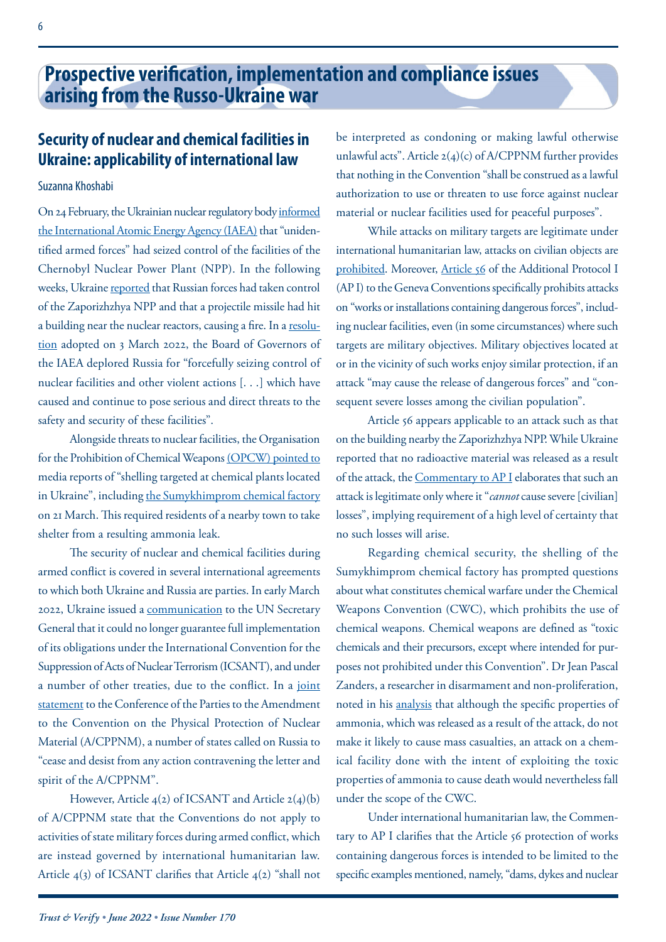## <span id="page-5-0"></span>**Security of nuclear and chemical facilities in Ukraine: applicability of international law**

#### Suzanna Khoshabi

On 24 February, the Ukrainian nuclear regulatory body [informed](https://www.iaea.org/newscenter/pressreleases/iaea-director-general-statement-on-the-situation-in-ukraine) [the International Atomic Energy Agency \(IAEA\)](https://www.iaea.org/newscenter/pressreleases/iaea-director-general-statement-on-the-situation-in-ukraine) that "unidentified armed forces" had seized control of the facilities of the Chernobyl Nuclear Power Plant (NPP). In the following weeks, Ukraine [reported](https://www.iaea.org/newscenter/pressreleases/update-11-iaea-director-general-statement-on-situation-in-ukraine) that Russian forces had taken control of the Zaporizhzhya NPP and that a projectile missile had hit a building near the nuclear reactors, causing a fire. In a [resolu](https://www.iaea.org/sites/default/files/22/03/gov2022-17.pdf)[tion](https://www.iaea.org/sites/default/files/22/03/gov2022-17.pdf) adopted on 3 March 2022, the Board of Governors of the IAEA deplored Russia for "forcefully seizing control of nuclear facilities and other violent actions [. . .] which have caused and continue to pose serious and direct threats to the safety and security of these facilities".

Alongside threats to nuclear facilities, the Organisation for the Prohibition of Chemical Weapons [\(OPCW\) pointed to](https://www.opcw.org/media-centre/news/2022/04/statement-ukraine-opcw-spokesperson) media reports of "shelling targeted at chemical plants located in Ukraine", including [the Sumykhimprom chemical factory](https://www.theguardian.com/world/2022/mar/21/ukrainian-town-told-to-shelter-after-shelling-causes-ammonia-leak-at-chemical-factory) on 21 March. This required residents of a nearby town to take shelter from a resulting ammonia leak.

The security of nuclear and chemical facilities during armed conflict is covered in several international agreements to which both Ukraine and Russia are parties. In early March 2022, Ukraine issued a [communication](https://treaties.un.org/doc/Publication/CN/2022/CN.72.2022-Eng.pdf) to the UN Secretary General that it could no longer guarantee full implementation of its obligations under the International Convention for the Suppression of Acts of Nuclear Terrorism (ICSANT), and under a number of other treaties, due to the conflict. In a [joint](https://www.iaea.org/sites/default/files/publications/documents/infcircs/2022/infcirc987.pdf) [statement](https://www.iaea.org/sites/default/files/publications/documents/infcircs/2022/infcirc987.pdf) to the Conference of the Parties to the Amendment to the Convention on the Physical Protection of Nuclear Material (A/CPPNM), a number of states called on Russia to "cease and desist from any action contravening the letter and spirit of the A/CPPNM".

However, Article 4(2) of ICSANT and Article 2(4)(b) of A/CPPNM state that the Conventions do not apply to activities of state military forces during armed conflict, which are instead governed by international humanitarian law. Article 4(3) of ICSANT clarifies that Article 4(2) "shall not

be interpreted as condoning or making lawful otherwise unlawful acts". Article 2(4)(c) of A/CPPNM further provides that nothing in the Convention "shall be construed as a lawful authorization to use or threaten to use force against nuclear material or nuclear facilities used for peaceful purposes".

While attacks on military targets are legitimate under international humanitarian law, attacks on civilian objects are [prohibited](https://ihl-databases.icrc.org/applic/ihl/ihl.nsf/Article.xsp?action=openDocument&documentId=F08A9BC78AE360B3C12563CD0051DCD4). Moreover, [Article 56](https://ihl-databases.icrc.org/applic/ihl/ihl.nsf/Article.xsp?action=openDocument&documentId=3376730ECD9DF7B1C12563CD0051DD37) of the Additional Protocol I (AP I) to the Geneva Conventions specifically prohibits attacks on "works or installations containing dangerous forces", including nuclear facilities, even (in some circumstances) where such targets are military objectives. Military objectives located at or in the vicinity of such works enjoy similar protection, if an attack "may cause the release of dangerous forces" and "consequent severe losses among the civilian population".

Article 56 appears applicable to an attack such as that on the building nearby the Zaporizhzhya NPP. While Ukraine reported that no radioactive material was released as a result of the attack, the [Commentary to AP I](https://ihl-databases.icrc.org/applic/ihl/ihl.nsf/Comment.xsp?action=openDocument&documentId=B071F91A3BD55FD7C12563CD00434E3E) elaborates that such an attack is legitimate only where it "*cannot* cause severe [civilian] losses", implying requirement of a high level of certainty that no such losses will arise.

Regarding chemical security, the shelling of the Sumykhimprom chemical factory has prompted questions about what constitutes chemical warfare under the Chemical Weapons Convention (CWC), which prohibits the use of chemical weapons. Chemical weapons are defined as "toxic chemicals and their precursors, except where intended for purposes not prohibited under this Convention". Dr Jean Pascal Zanders, a researcher in disarmament and non-proliferation, noted in his [analysis](https://www.the-trench.org/prelude-to-chemical-weapons-use) that although the specific properties of ammonia, which was released as a result of the attack, do not make it likely to cause mass casualties, an attack on a chemical facility done with the intent of exploiting the toxic properties of ammonia to cause death would nevertheless fall under the scope of the CWC.

Under international humanitarian law, the Commentary to AP I clarifies that the Article 56 protection of works containing dangerous forces is intended to be limited to the specific examples mentioned, namely, "dams, dykes and nuclear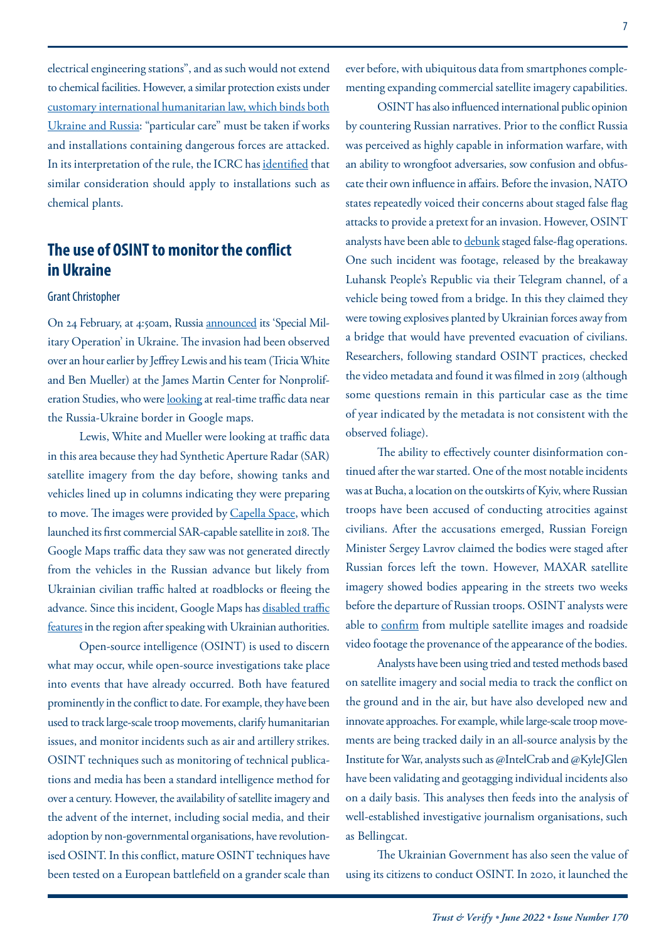electrical engineering stations", and as such would not extend to chemical facilities. However, a similar protection exists under [customary international humanitarian law](https://ihl-databases.icrc.org/customary-ihl/eng/docs/v1_cha_chapter13_rule42), which binds both Ukraine and Russia: "particular care" must be taken if works and installations containing dangerous forces are attacked. In its interpretation of the rule, the ICRC has [identified](https://ihl-databases.icrc.org/customary-ihl/eng/docs/v1_cha_chapter13_rule42) that similar consideration should apply to installations such as chemical plants.

## **The use of OSINT to monitor the conflict in Ukraine**

#### Grant Christopher

On 24 February, at 4:50am, Russia [announced](https://edition.cnn.com/2022/02/24/europe/ukraine-russia-attack-timeline-intl/index.html) its 'Special Military Operation' in Ukraine. The invasion had been observed over an hour earlier by Jeffrey Lewis and his team (Tricia White and Ben Mueller) at the James Martin Center for Nonproliferation Studies, who were [looking](https://twitter.com/ArmsControlWonk/status/1496657816740036616) at real-time traffic data near the Russia-Ukraine border in Google maps.

Lewis, White and Mueller were looking at traffic data in this area because they had Synthetic Aperture Radar (SAR) satellite imagery from the day before, showing tanks and vehicles lined up in columns indicating they were preparing to move. The images were provided by [Capella Space,](https://www.capellaspace.com/about-us/our-story/) which launched its first commercial SAR-capable satellite in 2018. The Google Maps traffic data they saw was not generated directly from the vehicles in the Russian advance but likely from Ukrainian civilian traffic halted at roadblocks or fleeing the advance. Since this incident, Google Maps has [disabled traffic](https://www.reuters.com/technology/google-temporarily-disables-google-maps-live-traffic-data-ukraine-2022-02-28/)  [features](https://www.reuters.com/technology/google-temporarily-disables-google-maps-live-traffic-data-ukraine-2022-02-28/) in the region after speaking with Ukrainian authorities.

Open-source intelligence (OSINT) is used to discern what may occur, while open-source investigations take place into events that have already occurred. Both have featured prominently in the conflict to date. For example, they have been used to track large-scale troop movements, clarify humanitarian issues, and monitor incidents such as air and artillery strikes. OSINT techniques such as monitoring of technical publications and media has been a standard intelligence method for over a century. However, the availability of satellite imagery and the advent of the internet, including social media, and their adoption by non-governmental organisations, have revolutionised OSINT. In this conflict, mature OSINT techniques have been tested on a European battlefield on a grander scale than ever before, with ubiquitous data from smartphones complementing expanding commercial satellite imagery capabilities.

OSINT has also influenced international public opinion by countering Russian narratives. Prior to the conflict Russia was perceived as highly capable in information warfare, with an ability to wrongfoot adversaries, sow confusion and obfuscate their own influence in affairs. Before the invasion, NATO states repeatedly voiced their concerns about staged false flag attacks to provide a pretext for an invasion. However, OSINT analysts have been able to [debunk](https://www.telegraph.co.uk/world-news/2022/02/21/five-russian-false-flags-comically-easy-debunk/) staged false-flag operations. One such incident was footage, released by the breakaway Luhansk People's Republic via their Telegram channel, of a vehicle being towed from a bridge. In this they claimed they were towing explosives planted by Ukrainian forces away from a bridge that would have prevented evacuation of civilians. Researchers, following standard OSINT practices, checked the video metadata and found it was filmed in 2019 (although some questions remain in this particular case as the time of year indicated by the metadata is not consistent with the observed foliage).

The ability to effectively counter disinformation continued after the war started. One of the most notable incidents was at Bucha, a location on the outskirts of Kyiv, where Russian troops have been accused of conducting atrocities against civilians. After the accusations emerged, Russian Foreign Minister Sergey Lavrov claimed the bodies were staged after Russian forces left the town. However, MAXAR satellite imagery showed bodies appearing in the streets two weeks before the departure of Russian troops. OSINT analysts were able to [confirm](https://www.bbc.co.uk/news/60981238) from multiple satellite images and roadside video footage the provenance of the appearance of the bodies.

Analysts have been using tried and tested methods based on satellite imagery and social media to track the conflict on the ground and in the air, but have also developed new and innovate approaches. For example, while large-scale troop movements are being tracked daily in an all-source analysis by the Institute for War, analysts such as @IntelCrab and @KyleJGlen have been validating and geotagging individual incidents also on a daily basis. This analyses then feeds into the analysis of well-established investigative journalism organisations, such as Bellingcat.

The Ukrainian Government has also seen the value of using its citizens to conduct OSINT. In 2020, it launched the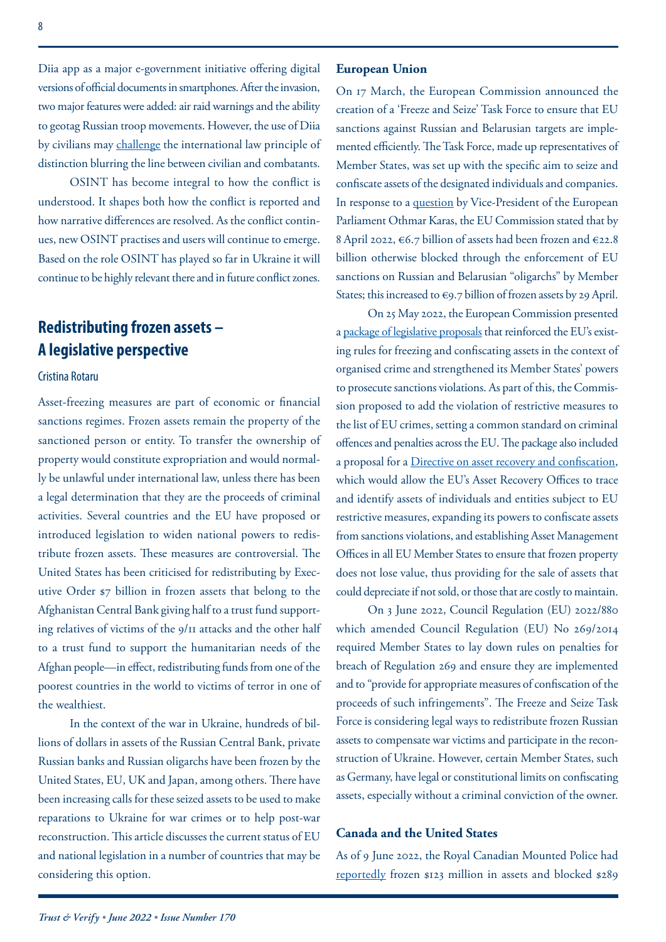Diia app as a major e-government initiative offering digital versions of official documents in smartphones. After the invasion, two major features were added: air raid warnings and the ability to geotag Russian troop movements. However, the use of Diia by civilians may [challenge](https://www.wired.com/story/smartphones-ukraine-civilian-combatant/) the international law principle of distinction blurring the line between civilian and combatants.

OSINT has become integral to how the conflict is understood. It shapes both how the conflict is reported and how narrative differences are resolved. As the conflict continues, new OSINT practises and users will continue to emerge. Based on the role OSINT has played so far in Ukraine it will continue to be highly relevant there and in future conflict zones.

## **Redistributing frozen assets – A legislative perspective**

## Cristina Rotaru

Asset-freezing measures are part of economic or financial sanctions regimes. Frozen assets remain the property of the sanctioned person or entity. To transfer the ownership of property would constitute expropriation and would normally be unlawful under international law, unless there has been a legal determination that they are the proceeds of criminal activities. Several countries and the EU have proposed or introduced legislation to widen national powers to redistribute frozen assets. These measures are controversial. The United States has been criticised for redistributing by Executive Order \$7 billion in frozen assets that belong to the Afghanistan Central Bank giving half to a trust fund supporting relatives of victims of the 9/11 attacks and the other half to a trust fund to support the humanitarian needs of the Afghan people—in effect, redistributing funds from one of the poorest countries in the world to victims of terror in one of the wealthiest.

In the context of the war in Ukraine, hundreds of billions of dollars in assets of the Russian Central Bank, private Russian banks and Russian oligarchs have been frozen by the United States, EU, UK and Japan, among others. There have been increasing calls for these seized assets to be used to make reparations to Ukraine for war crimes or to help post-war reconstruction. This article discusses the current status of EU and national legislation in a number of countries that may be considering this option.

#### **European Union**

On 17 March, the European Commission announced the creation of a 'Freeze and Seize' Task Force to ensure that EU sanctions against Russian and Belarusian targets are implemented efficiently. The Task Force, made up representatives of Member States, was set up with the specific aim to seize and confiscate assets of the designated individuals and companies. In response to a [question](https://www.europarl.europa.eu/doceo/document/P-9-2022-001348-ASW_EN.html) by Vice-President of the European Parliament Othmar Karas, the EU Commission stated that by 8 April 2022, €6.7 billion of assets had been frozen and €22.8 billion otherwise blocked through the enforcement of EU sanctions on Russian and Belarusian "oligarchs" by Member States; this increased to €9.7 billion of frozen assets by 29 April.

On 25 May 2022, the European Commission presented a [package of legislative proposals](https://ec.europa.eu/commission/presscorner/detail/en/IP_22_3264) that reinforced the EU's existing rules for freezing and confiscating assets in the context of organised crime and strengthened its Member States' powers to prosecute sanctions violations. As part of this, the Commission proposed to add the violation of restrictive measures to the list of EU crimes, setting a common standard on criminal offences and penalties across the EU. The package also included a proposal for a [Directive on asset recovery and confiscation,](https://ec.europa.eu/home-affairs/proposal-directive-asset-recovery-and-confiscation_en) which would allow the EU's Asset Recovery Offices to trace and identify assets of individuals and entities subject to EU restrictive measures, expanding its powers to confiscate assets from sanctions violations, and establishing Asset Management Offices in all EU Member States to ensure that frozen property does not lose value, thus providing for the sale of assets that could depreciate if not sold, or those that are costly to maintain.

On 3 June 2022, Council Regulation (EU) 2022/880 which amended Council Regulation (EU) No 269/2014 required Member States to lay down rules on penalties for breach of Regulation 269 and ensure they are implemented and to "provide for appropriate measures of confiscation of the proceeds of such infringements". The Freeze and Seize Task Force is considering legal ways to redistribute frozen Russian assets to compensate war victims and participate in the reconstruction of Ukraine. However, certain Member States, such as Germany, have legal or constitutional limits on confiscating assets, especially without a criminal conviction of the owner.

#### **Canada and the United States**

As of 9 June 2022, the Royal Canadian Mounted Police had [reportedly](https://www.rcmp-grc.gc.ca/en/news/2022/update-the-reporting-frozen-assets-the-special-economic-measures-act-russia-regulations) frozen \$123 million in assets and blocked \$289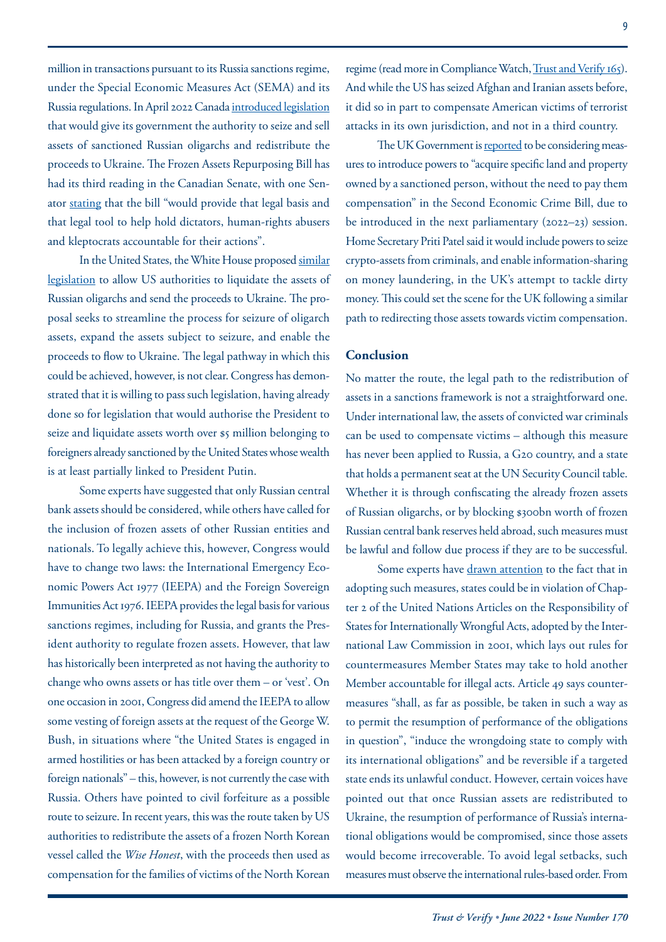million in transactions pursuant to its Russia sanctions regime, under the Special Economic Measures Act (SEMA) and its Russia regulations. In April 2022 Canada [introduced legislation](https://sencanada.ca/en/content/sen/chamber/441/debates/038db_2022-05-03-e?language=e) that would give its government the authority to seize and sell assets of sanctioned Russian oligarchs and redistribute the proceeds to Ukraine. The Frozen Assets Repurposing Bill has had its third reading in the Canadian Senate, with one Senator [stating](https://sencanada.ca/en/content/sen/chamber/441/debates/038db_2022-05-03-e) that the bill "would provide that legal basis and that legal tool to help hold dictators, human-rights abusers and kleptocrats accountable for their actions".

In the United States, the White House proposed [similar](https://www.whitehouse.gov/briefing-room/statements-releases/2022/04/28/fact-sheet-president-bidens-comprehensive-proposal-to-hold-russian-oligarchs-accountable/)  [legislation](https://www.whitehouse.gov/briefing-room/statements-releases/2022/04/28/fact-sheet-president-bidens-comprehensive-proposal-to-hold-russian-oligarchs-accountable/) to allow US authorities to liquidate the assets of Russian oligarchs and send the proceeds to Ukraine. The proposal seeks to streamline the process for seizure of oligarch assets, expand the assets subject to seizure, and enable the proceeds to flow to Ukraine. The legal pathway in which this could be achieved, however, is not clear. Congress has demonstrated that it is willing to pass such legislation, having already done so for legislation that would authorise the President to seize and liquidate assets worth over \$5 million belonging to foreigners already sanctioned by the United States whose wealth is at least partially linked to President Putin.

Some experts have suggested that only Russian central bank assets should be considered, while others have called for the inclusion of frozen assets of other Russian entities and nationals. To legally achieve this, however, Congress would have to change two laws: the International Emergency Economic Powers Act 1977 (IEEPA) and the Foreign Sovereign Immunities Act 1976. IEEPA provides the legal basis for various sanctions regimes, including for Russia, and grants the President authority to regulate frozen assets. However, that law has historically been interpreted as not having the authority to change who owns assets or has title over them – or 'vest'. On one occasion in 2001, Congress did amend the IEEPA to allow some vesting of foreign assets at the request of the George W. Bush, in situations where "the United States is engaged in armed hostilities or has been attacked by a foreign country or foreign nationals" – this, however, is not currently the case with Russia. Others have pointed to civil forfeiture as a possible route to seizure. In recent years, this was the route taken by US authorities to redistribute the assets of a frozen North Korean vessel called the *Wise Honest*, with the proceeds then used as compensation for the families of victims of the North Korean

regime (read more in Compliance Watch, [Trust and Verify 165](http://www.vertic.org/wp-content/uploads/2020/02/TV165_REV2_WEB.pdf)). And while the US has seized Afghan and Iranian assets before, it did so in part to compensate American victims of terrorist attacks in its own jurisdiction, and not in a third country.

The UK Government is reported to be considering measures to introduce powers to "acquire specific land and property owned by a sanctioned person, without the need to pay them compensation" in the Second Economic Crime Bill, due to be introduced in the next parliamentary (2022–23) session. Home Secretary Priti Patel said it would include powers to seize crypto-assets from criminals, and enable information-sharing on money laundering, in the UK's attempt to tackle dirty money. This could set the scene for the UK following a similar path to redirecting those assets towards victim compensation.

#### **Conclusion**

No matter the route, the legal path to the redistribution of assets in a sanctions framework is not a straightforward one. Under international law, the assets of convicted war criminals can be used to compensate victims – although this measure has never been applied to Russia, a G20 country, and a state that holds a permanent seat at the UN Security Council table. Whether it is through confiscating the already frozen assets of Russian oligarchs, or by blocking \$300bn worth of frozen Russian central bank reserves held abroad, such measures must be lawful and follow due process if they are to be successful.

Some experts have [drawn attention](https://www.cbc.ca/news/politics/c19-russia-sanctions-un-articles-violation-1.6478115) to the fact that in adopting such measures, states could be in violation of Chapter 2 of the United Nations Articles on the Responsibility of States for Internationally Wrongful Acts, adopted by the International Law Commission in 2001, which lays out rules for countermeasures Member States may take to hold another Member accountable for illegal acts. Article 49 says countermeasures "shall, as far as possible, be taken in such a way as to permit the resumption of performance of the obligations in question", "induce the wrongdoing state to comply with its international obligations" and be reversible if a targeted state ends its unlawful conduct. However, certain voices have pointed out that once Russian assets are redistributed to Ukraine, the resumption of performance of Russia's international obligations would be compromised, since those assets would become irrecoverable. To avoid legal setbacks, such measures must observe the international rules-based order. From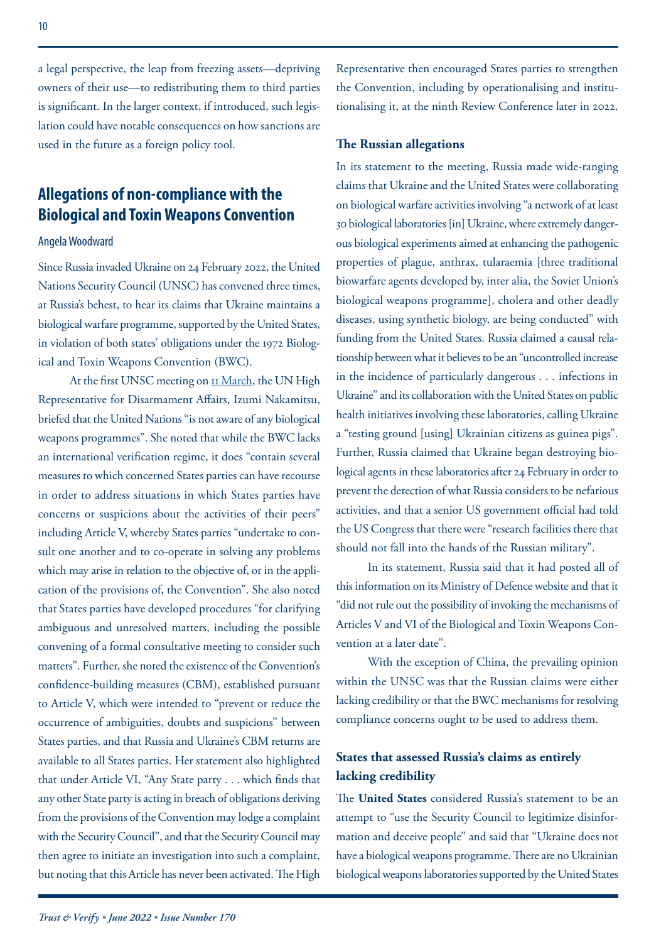a legal perspective, the leap from freezing assets—depriving owners of their use—to redistributing them to third parties is significant. In the larger context, if introduced, such legislation could have notable consequences on how sanctions are used in the future as a foreign policy tool.

## **Allegations of non-compliance with the Biological and Toxin Weapons Convention**

#### Angela Woodward

Since Russia invaded Ukraine on 24 February 2022, the United Nations Security Council (UNSC) has convened three times, at Russia's behest, to hear its claims that Ukraine maintains a biological warfare programme, supported by the United States, in violation of both states' obligations under the 1972 Biological and Toxin Weapons Convention (BWC).

At the first UNSC meeting on  $\text{II}$  March, the UN High Representative for Disarmament Affairs, Izumi Nakamitsu, briefed that the United Nations "is not aware of any biological weapons programmes". She noted that while the BWC lacks an international verification regime, it does "contain several measures to which concerned States parties can have recourse in order to address situations in which States parties have concerns or suspicions about the activities of their peers" including Article V, whereby States parties "undertake to consult one another and to co-operate in solving any problems which may arise in relation to the objective of, or in the application of the provisions of, the Convention". She also noted that States parties have developed procedures "for clarifying ambiguous and unresolved matters, including the possible convening of a formal consultative meeting to consider such matters". Further, she noted the existence of the Convention's confidence-building measures (CBM), established pursuant to Article V, which were intended to "prevent or reduce the occurrence of ambiguities, doubts and suspicions" between States parties, and that Russia and Ukraine's CBM returns are available to all States parties. Her statement also highlighted that under Article VI, "Any State party . . . which finds that any other State party is acting in breach of obligations deriving from the provisions of the Convention may lodge a complaint with the Security Council", and that the Security Council may then agree to initiate an investigation into such a complaint, but noting that this Article has never been activated. The High

Representative then encouraged States parties to strengthen the Convention, including by operationalising and institutionalising it, at the ninth Review Conference later in 2022.

#### **The Russian allegations**

In its statement to the meeting, Russia made wide-ranging claims that Ukraine and the United States were collaborating on biological warfare activities involving "a network of at least 30 biological laboratories [in] Ukraine, where extremely dangerous biological experiments aimed at enhancing the pathogenic properties of plague, anthrax, tularaemia [three traditional biowarfare agents developed by, inter alia, the Soviet Union's biological weapons programme], cholera and other deadly diseases, using synthetic biology, are being conducted" with funding from the United States. Russia claimed a causal relationship between what it believes to be an "uncontrolled increase in the incidence of particularly dangerous . . . infections in Ukraine" and its collaboration with the United States on public health initiatives involving these laboratories, calling Ukraine a "testing ground [using] Ukrainian citizens as guinea pigs". Further, Russia claimed that Ukraine began destroying biological agents in these laboratories after 24 February in order to prevent the detection of what Russia considers to be nefarious activities, and that a senior US government official had told the US Congress that there were "research facilities there that should not fall into the hands of the Russian military".

In its statement, Russia said that it had posted all of this information on its Ministry of Defence website and that it "did not rule out the possibility of invoking the mechanisms of Articles V and VI of the Biological and Toxin Weapons Convention at a later date".

With the exception of China, the prevailing opinion within the UNSC was that the Russian claims were either lacking credibility or that the BWC mechanisms for resolving compliance concerns ought to be used to address them.

## **States that assessed Russia's claims as entirely lacking credibility**

The **United States** considered Russia's statement to be an attempt to "use the Security Council to legitimize disinformation and deceive people" and said that "Ukraine does not have a biological weapons programme. There are no Ukrainian biological weapons laboratories supported by the United States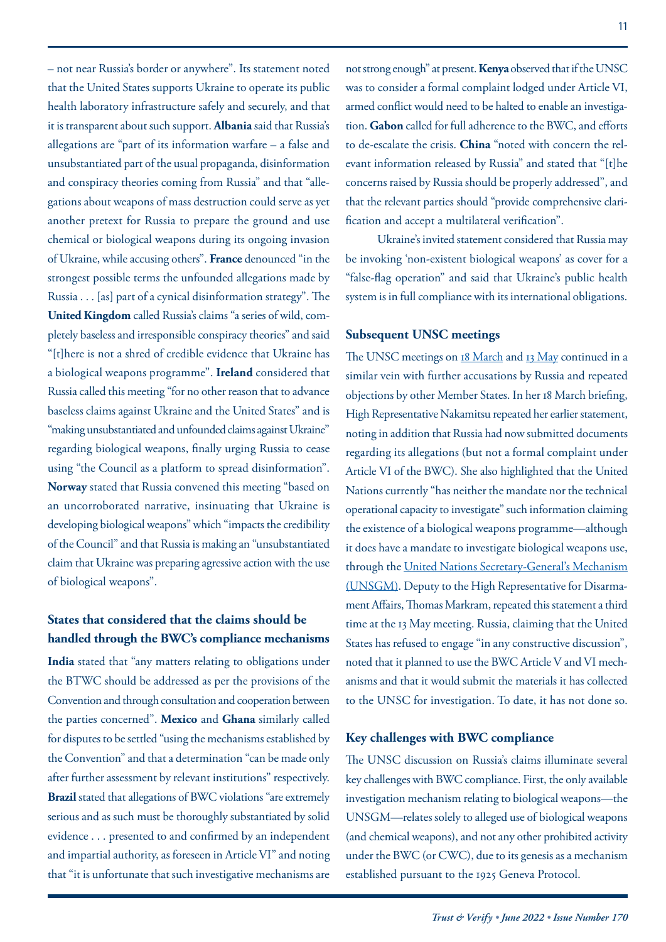– not near Russia's border or anywhere". Its statement noted that the United States supports Ukraine to operate its public health laboratory infrastructure safely and securely, and that it is transparent about such support. **Albania** said that Russia's allegations are "part of its information warfare – a false and unsubstantiated part of the usual propaganda, disinformation and conspiracy theories coming from Russia" and that "allegations about weapons of mass destruction could serve as yet another pretext for Russia to prepare the ground and use chemical or biological weapons during its ongoing invasion of Ukraine, while accusing others". **France** denounced "in the strongest possible terms the unfounded allegations made by Russia . . . [as] part of a cynical disinformation strategy". The **United Kingdom** called Russia's claims "a series of wild, completely baseless and irresponsible conspiracy theories" and said "[t]here is not a shred of credible evidence that Ukraine has a biological weapons programme". **Ireland** considered that Russia called this meeting "for no other reason that to advance baseless claims against Ukraine and the United States" and is "making unsubstantiated and unfounded claims against Ukraine" regarding biological weapons, finally urging Russia to cease using "the Council as a platform to spread disinformation". **Norway** stated that Russia convened this meeting "based on an uncorroborated narrative, insinuating that Ukraine is developing biological weapons" which "impacts the credibility of the Council" and that Russia is making an "unsubstantiated claim that Ukraine was preparing agressive action with the use of biological weapons".

## **States that considered that the claims should be handled through the BWC's compliance mechanisms**

**India** stated that "any matters relating to obligations under the BTWC should be addressed as per the provisions of the Convention and through consultation and cooperation between the parties concerned". **Mexico** and **Ghana** similarly called for disputes to be settled "using the mechanisms established by the Convention" and that a determination "can be made only after further assessment by relevant institutions" respectively. **Brazil** stated that allegations of BWC violations "are extremely serious and as such must be thoroughly substantiated by solid evidence . . . presented to and confirmed by an independent and impartial authority, as foreseen in Article VI" and noting that "it is unfortunate that such investigative mechanisms are

armed conflict would need to be halted to enable an investigation. **Gabon** called for full adherence to the BWC, and efforts to de-escalate the crisis. **China** "noted with concern the relevant information released by Russia" and stated that "[t]he concerns raised by Russia should be properly addressed", and that the relevant parties should "provide comprehensive clarification and accept a multilateral verification".

Ukraine's invited statement considered that Russia may be invoking 'non-existent biological weapons' as cover for a "false-flag operation" and said that Ukraine's public health system is in full compliance with its international obligations.

#### **Subsequent UNSC meetings**

The UNSC meetings on [18 March](https://documents-dds-ny.un.org/doc/UNDOC/PRO/N22/292/64/PDF/N2229264.pdf?OpenElement) and [13 May](https://documents-dds-ny.un.org/doc/UNDOC/PRO/N22/348/43/PDF/N2234843.pdf?OpenElement) continued in a similar vein with further accusations by Russia and repeated objections by other Member States. In her 18 March briefing, High Representative Nakamitsu repeated her earlier statement, noting in addition that Russia had now submitted documents regarding its allegations (but not a formal complaint under Article VI of the BWC). She also highlighted that the United Nations currently "has neither the mandate nor the technical operational capacity to investigate" such information claiming the existence of a biological weapons programme—although it does have a mandate to investigate biological weapons use, through the [United Nations Secretary-General's Mechanism](https://www.vertic.org/programmes/vm/bio-investigations/) [\(UNSGM\)](https://www.vertic.org/programmes/vm/bio-investigations/). Deputy to the High Representative for Disarmament Affairs, Thomas Markram, repeated this statement a third time at the 13 May meeting. Russia, claiming that the United States has refused to engage "in any constructive discussion", noted that it planned to use the BWC Article V and VI mechanisms and that it would submit the materials it has collected to the UNSC for investigation. To date, it has not done so.

#### **Key challenges with BWC compliance**

The UNSC discussion on Russia's claims illuminate several key challenges with BWC compliance. First, the only available investigation mechanism relating to biological weapons—the UNSGM—relates solely to alleged use of biological weapons (and chemical weapons), and not any other prohibited activity under the BWC (or CWC), due to its genesis as a mechanism established pursuant to the 1925 Geneva Protocol.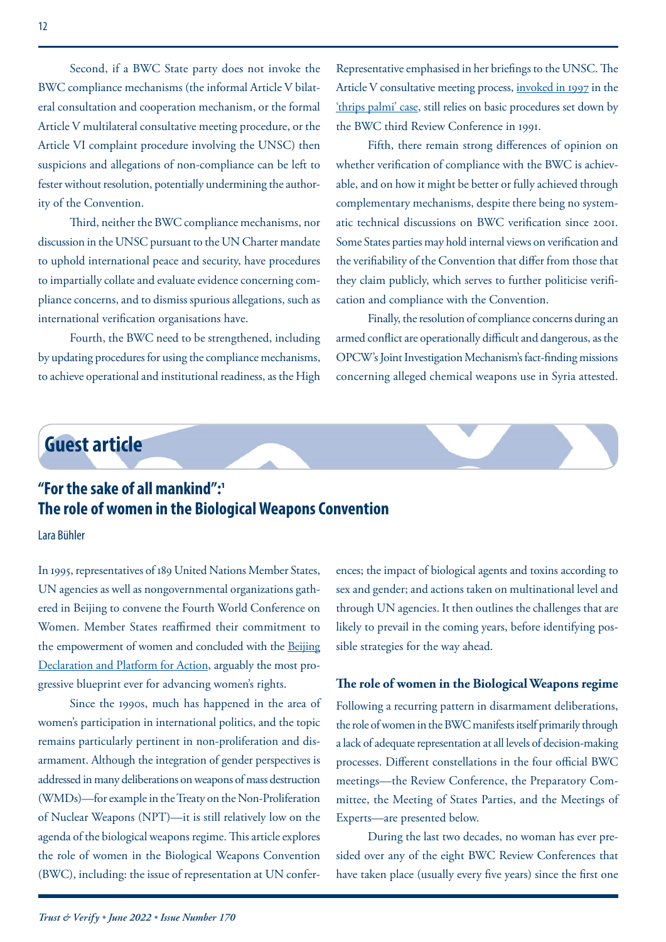<span id="page-11-0"></span>Second, if a BWC State party does not invoke the BWC compliance mechanisms (the informal Article V bilateral consultation and cooperation mechanism, or the formal Article V multilateral consultative meeting procedure, or the Article VI complaint procedure involving the UNSC) then suspicions and allegations of non-compliance can be left to fester without resolution, potentially undermining the authority of the Convention.

Third, neither the BWC compliance mechanisms, nor discussion in the UNSC pursuant to the UN Charter mandate to uphold international peace and security, have procedures to impartially collate and evaluate evidence concerning compliance concerns, and to dismiss spurious allegations, such as international verification organisations have.

Fourth, the BWC need to be strengthened, including by updating procedures for using the compliance mechanisms, to achieve operational and institutional readiness, as the High

Representative emphasised in her briefings to the UNSC. The Article V consultative meeting process, [invoked in 1997](https://docs-library.unoda.org/Biological_Weapons_Convention_-_Formal_Consultative_Meeting_(1997)/BWC_CONS_01.pdf) in the ['thrips palmi' case,](http://www.vertic.org/media/assets/TV/TV77.pdf) still relies on basic procedures set down by the BWC third Review Conference in 1991.

Fifth, there remain strong differences of opinion on whether verification of compliance with the BWC is achievable, and on how it might be better or fully achieved through complementary mechanisms, despite there being no systematic technical discussions on BWC verification since 2001. Some States parties may hold internal views on verification and the verifiability of the Convention that differ from those that they claim publicly, which serves to further politicise verification and compliance with the Convention.

Finally, the resolution of compliance concerns during an armed conflict are operationally difficult and dangerous, as the OPCW's Joint Investigation Mechanism's fact-finding missions concerning alleged chemical weapons use in Syria attested.

# **Guest article**

# **"For the sake of all mankind":1 The role of women in the Biological Weapons Convention**

Lara Bühler

In 1995, representatives of 189 United Nations Member States, UN agencies as well as nongovernmental organizations gathered in Beijing to convene the Fourth World Conference on Women. Member States reaffirmed their commitment to the empowerment of women and concluded with the [Beijing](https://www.unwomen.org/sites/default/files/Headquarters/Attachments/Sections/CSW/PFA_E_Final_WEB.pdf) [Declaration and Platform for Action](https://www.unwomen.org/sites/default/files/Headquarters/Attachments/Sections/CSW/PFA_E_Final_WEB.pdf), arguably the most progressive blueprint ever for advancing women's rights.

Since the 1990s, much has happened in the area of women's participation in international politics, and the topic remains particularly pertinent in non-proliferation and disarmament. Although the integration of gender perspectives is addressed in many deliberations on weapons of mass destruction (WMDs)—for example in the Treaty on the Non-Proliferation of Nuclear Weapons (NPT)—it is still relatively low on the agenda of the biological weapons regime. This article explores the role of women in the Biological Weapons Convention (BWC), including: the issue of representation at UN conferences; the impact of biological agents and toxins according to sex and gender; and actions taken on multinational level and through UN agencies. It then outlines the challenges that are likely to prevail in the coming years, before identifying possible strategies for the way ahead.

#### **The role of women in the Biological Weapons regime**

Following a recurring pattern in disarmament deliberations, the role of women in the BWC manifests itself primarily through a lack of adequate representation at all levels of decision-making processes. Different constellations in the four official BWC meetings—the Review Conference, the Preparatory Committee, the Meeting of States Parties, and the Meetings of Experts—are presented below.

During the last two decades, no woman has ever presided over any of the eight BWC Review Conferences that have taken place (usually every five years) since the first one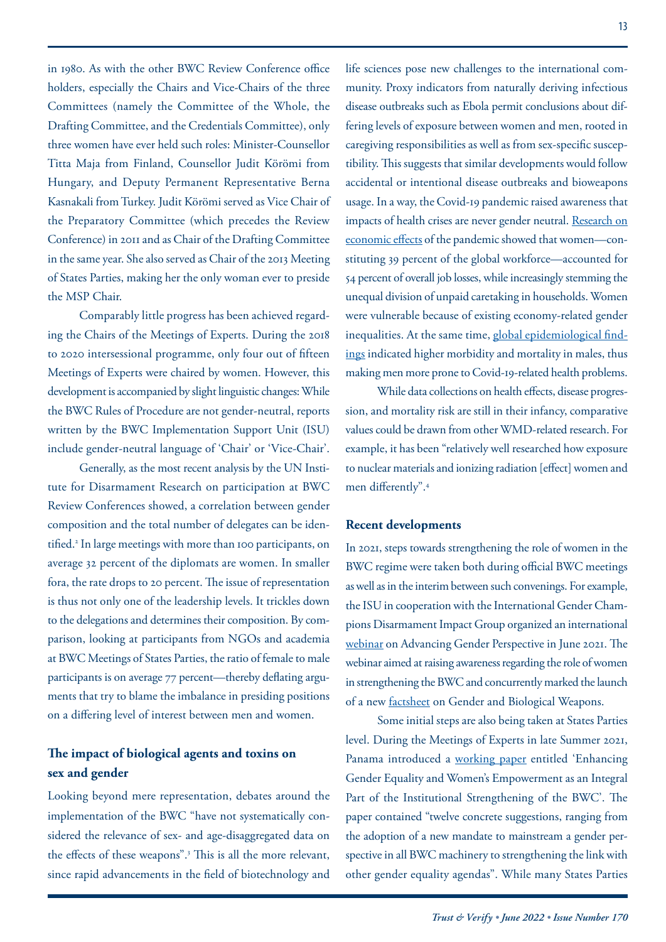in 1980. As with the other BWC Review Conference office holders, especially the Chairs and Vice-Chairs of the three Committees (namely the Committee of the Whole, the Drafting Committee, and the Credentials Committee), only three women have ever held such roles: Minister-Counsellor Titta Maja from Finland, Counsellor Judit Körömi from Hungary, and Deputy Permanent Representative Berna Kasnakali from Turkey. Judit Körömi served as Vice Chair of the Preparatory Committee (which precedes the Review Conference) in 2011 and as Chair of the Drafting Committee in the same year. She also served as Chair of the 2013 Meeting of States Parties, making her the only woman ever to preside the MSP Chair.

Comparably little progress has been achieved regarding the Chairs of the Meetings of Experts. During the 2018 to 2020 intersessional programme, only four out of fifteen Meetings of Experts were chaired by women. However, this development is accompanied by slight linguistic changes: While the BWC Rules of Procedure are not gender-neutral, reports written by the BWC Implementation Support Unit (ISU) include gender-neutral language of 'Chair' or 'Vice-Chair'.

Generally, as the most recent analysis by the UN Institute for Disarmament Research on participation at BWC Review Conferences showed, a correlation between gender composition and the total number of delegates can be identified.2 In large meetings with more than 100 participants, on average 32 percent of the diplomats are women. In smaller fora, the rate drops to 20 percent. The issue of representation is thus not only one of the leadership levels. It trickles down to the delegations and determines their composition. By comparison, looking at participants from NGOs and academia at BWC Meetings of States Parties, the ratio of female to male participants is on average 77 percent—thereby deflating arguments that try to blame the imbalance in presiding positions on a differing level of interest between men and women.

## **The impact of biological agents and toxins on sex and gender**

Looking beyond mere representation, debates around the implementation of the BWC "have not systematically considered the relevance of sex- and age-disaggregated data on the effects of these weapons".<sup>3</sup> This is all the more relevant, since rapid advancements in the field of biotechnology and

life sciences pose new challenges to the international community. Proxy indicators from naturally deriving infectious disease outbreaks such as Ebola permit conclusions about differing levels of exposure between women and men, rooted in caregiving responsibilities as well as from sex-specific susceptibility. This suggests that similar developments would follow accidental or intentional disease outbreaks and bioweapons usage. In a way, the Covid-19 pandemic raised awareness that impacts of health crises are never gender neutral. [Research on](https://www.mckinsey.com/featured-insights/future-of-work/covid-19-and-gender-equality-countering-the-regressive-effects) [economic effects](https://www.mckinsey.com/featured-insights/future-of-work/covid-19-and-gender-equality-countering-the-regressive-effects) of the pandemic showed that women—constituting 39 percent of the global workforce—accounted for 54 percent of overall job losses, while increasingly stemming the unequal division of unpaid caretaking in households. Women were vulnerable because of existing economy-related gender inequalities. At the same time, [global epidemiological find](https://pubmed.ncbi.nlm.nih.gov/32838138/)[ings](https://pubmed.ncbi.nlm.nih.gov/32838138/) indicated higher morbidity and mortality in males, thus making men more prone to Covid-19-related health problems.

While data collections on health effects, disease progression, and mortality risk are still in their infancy, comparative values could be drawn from other WMD-related research. For example, it has been "relatively well researched how exposure to nuclear materials and ionizing radiation [effect] women and men differently".4

### **Recent developments**

In 2021, steps towards strengthening the role of women in the BWC regime were taken both during official BWC meetings as well as in the interim between such convenings. For example, the ISU in cooperation with the International Gender Champions Disarmament Impact Group organized an international [webinar](https://unidir.org/GenderBWC) on Advancing Gender Perspective in June 2021. The webinar aimed at raising awareness regarding the role of women in strengthening the BWC and concurrently marked the launch of a new [factsheet](https://unidir.org/Gender-biological-weapons) on Gender and Biological Weapons.

Some initial steps are also being taken at States Parties level. During the Meetings of Experts in late Summer 2021, Panama introduced a [working paper](https://daccess-ods.un.org/access.nsf/Get?OpenAgent&DS=BWC/MSP/2020/MX.5/WP.6&Lang=E) entitled 'Enhancing Gender Equality and Women's Empowerment as an Integral Part of the Institutional Strengthening of the BWC'. The paper contained "twelve concrete suggestions, ranging from the adoption of a new mandate to mainstream a gender perspective in all BWC machinery to strengthening the link with other gender equality agendas". While many States Parties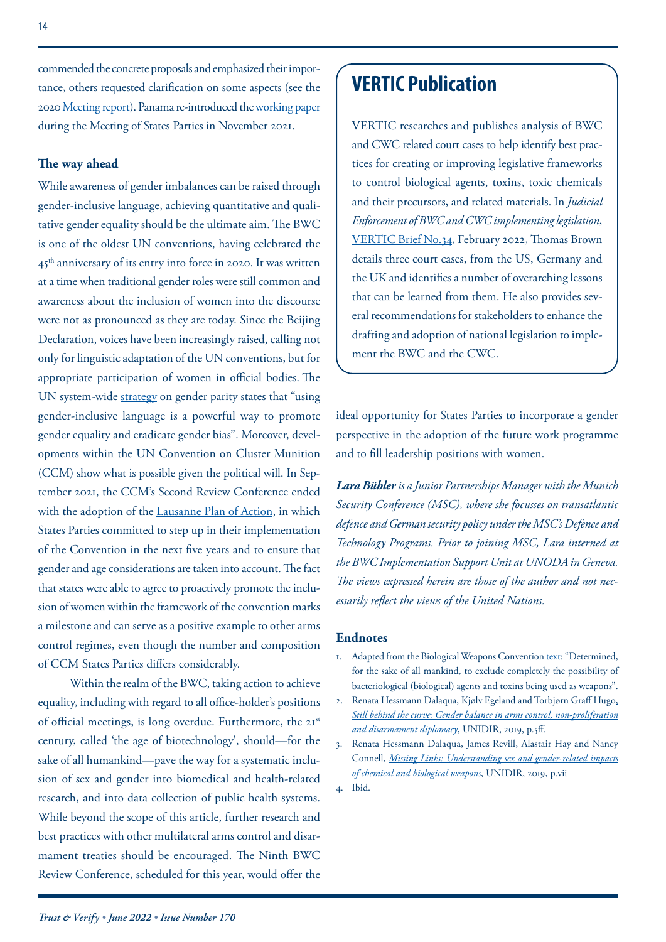commended the concrete proposals and emphasized their importance, others requested clarification on some aspects (see the 2020 [Meeting report\)](https://daccess-ods.un.org/access.nsf/Get?OpenAgent&DS=BWC/msp/2020/mx.5/2&Lang=E). Panama re-introduced the [working paper](https://daccess-ods.un.org/access.nsf/Get?OpenAgent&DS=BWC/msp/2020/wp.6&Lang=E) during the Meeting of States Parties in November 2021.

#### **The way ahead**

While awareness of gender imbalances can be raised through gender-inclusive language, achieving quantitative and qualitative gender equality should be the ultimate aim. The BWC is one of the oldest UN conventions, having celebrated the 45<sup>th</sup> anniversary of its entry into force in 2020. It was written at a time when traditional gender roles were still common and awareness about the inclusion of women into the discourse were not as pronounced as they are today. Since the Beijing Declaration, voices have been increasingly raised, calling not only for linguistic adaptation of the UN conventions, but for appropriate participation of women in official bodies. The UN system-wide [strategy](https://www.un.org/en/gender-inclusive-language/) on gender parity states that "using gender-inclusive language is a powerful way to promote gender equality and eradicate gender bias". Moreover, developments within the UN Convention on Cluster Munition (CCM) show what is possible given the political will. In September 2021, the CCM's Second Review Conference ended with the adoption of the [Lausanne Plan of Action,](https://www.clusterconvention.org/wp-content/uploads/2016/04/Lausanne-Action-Plan-eng-v1.pdf) in which States Parties committed to step up in their implementation of the Convention in the next five years and to ensure that gender and age considerations are taken into account. The fact that states were able to agree to proactively promote the inclusion of women within the framework of the convention marks a milestone and can serve as a positive example to other arms control regimes, even though the number and composition of CCM States Parties differs considerably.

Within the realm of the BWC, taking action to achieve equality, including with regard to all office-holder's positions of official meetings, is long overdue. Furthermore, the 21<sup>st</sup> century, called 'the age of biotechnology', should—for the sake of all humankind—pave the way for a systematic inclusion of sex and gender into biomedical and health-related research, and into data collection of public health systems. While beyond the scope of this article, further research and best practices with other multilateral arms control and disarmament treaties should be encouraged. The Ninth BWC Review Conference, scheduled for this year, would offer the

# **VERTIC Publication**

VERTIC researches and publishes analysis of BWC and CWC related court cases to help identify best practices for creating or improving legislative frameworks to control biological agents, toxins, toxic chemicals and their precursors, and related materials. In *Judicial Enforcement of BWC and CWC implementing legislation*, [VERTIC Brief No.34](https://www.vertic.org/wp-content/uploads/2022/02/VERTIC-Brief-34_TB_final.pdf), February 2022, Thomas Brown details three court cases, from the US, Germany and the UK and identifies a number of overarching lessons that can be learned from them. He also provides several recommendations for stakeholders to enhance the drafting and adoption of national legislation to implement the BWC and the CWC.

ideal opportunity for States Parties to incorporate a gender perspective in the adoption of the future work programme and to fill leadership positions with women.

*Lara Bühleris a Junior Partnerships Manager with the Munich Security Conference (MSC), where she focusses on transatlantic defence and German security policy under the MSC's Defence and Technology Programs. Prior to joining MSC, Lara interned at the BWC Implementation Support Unit at UNODA in Geneva. The views expressed herein are those of the author and not necessarily reflect the views of the United Nations.*

#### **Endnotes**

- 1. Adapted from the Biological Weapons Convention [text:](https://front.un-arm.org/wp-content/uploads/2020/12/BWC-text-English-1.pdf) "Determined, for the sake of all mankind, to exclude completely the possibility of bacteriological (biological) agents and toxins being used as weapons".
- 2. Renata Hessmann Dalaqua, Kjølv Egeland and Torbjørn Graff Hugo, *[Still behind the curve: Gender balance in arms control, non-proliferation](https://unidir.org/sites/default/files/2019-10/Still%20behind%20the%20curve.pdf)  [and disarmament diplomacy](https://unidir.org/sites/default/files/2019-10/Still%20behind%20the%20curve.pdf)*, UNIDIR, 2019, p.5ff.
- 3. Renata Hessmann Dalaqua, James Revill, Alastair Hay and Nancy Connell, *[Missing Links: Understanding sex and gender-related impacts](https://unidir.org/sites/default/files/2019-11/Missing%20Links-3.pdf)  [of chemical and biological weapons](https://unidir.org/sites/default/files/2019-11/Missing%20Links-3.pdf)*, UNIDIR, 2019, p.vii
- 4. Ibid.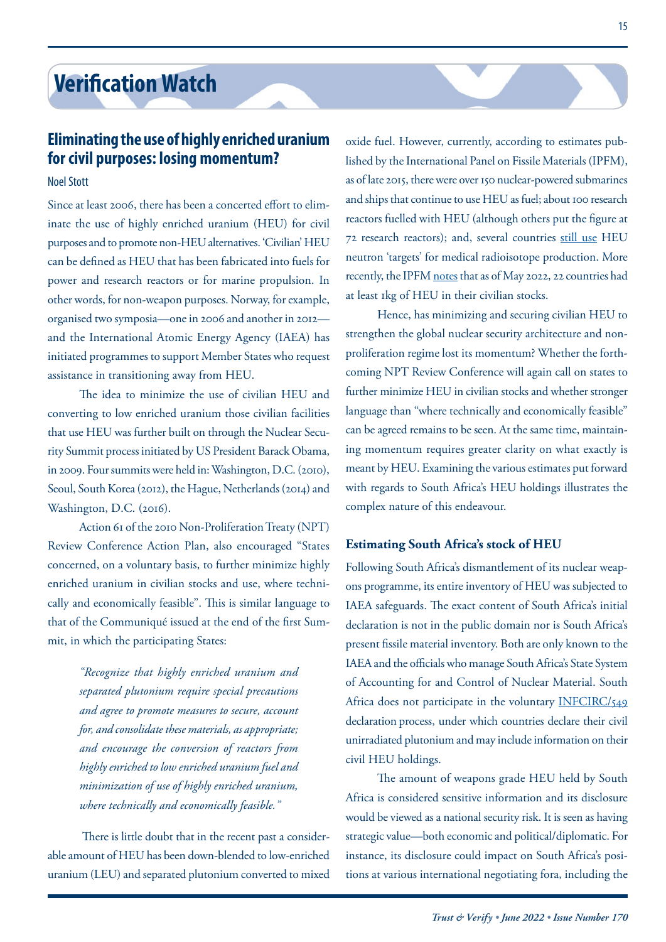## <span id="page-14-0"></span>**Eliminating the use of highly enriched uranium for civil purposes: losing momentum?**

### Noel Stott

Since at least 2006, there has been a concerted effort to eliminate the use of highly enriched uranium (HEU) for civil purposes and to promote non-HEU alternatives. 'Civilian' HEU can be defined as HEU that has been fabricated into fuels for power and research reactors or for marine propulsion. In other words, for non-weapon purposes. Norway, for example, organised two symposia—one in 2006 and another in 2012 and the International Atomic Energy Agency (IAEA) has initiated programmes to support Member States who request assistance in transitioning away from HEU.

The idea to minimize the use of civilian HEU and converting to low enriched uranium those civilian facilities that use HEU was further built on through the Nuclear Security Summit process initiated by US President Barack Obama, in 2009. Four summits were held in: Washington, D.C. (2010), Seoul, South Korea (2012), the Hague, Netherlands (2014) and Washington, D.C. (2016).

Action 61 of the 2010 Non-Proliferation Treaty (NPT) Review Conference Action Plan, also encouraged "States concerned, on a voluntary basis, to further minimize highly enriched uranium in civilian stocks and use, where technically and economically feasible". This is similar language to that of the Communiqué issued at the end of the first Summit, in which the participating States:

> *"Recognize that highly enriched uranium and separated plutonium require special precautions and agree to promote measures to secure, account for, and consolidate these materials, as appropriate; and encourage the conversion of reactors from highly enriched to low enriched uranium fuel and minimization of use of highly enriched uranium, where technically and economically feasible."*

 There is little doubt that in the recent past a considerable amount of HEU has been down-blended to low-enriched uranium (LEU) and separated plutonium converted to mixed oxide fuel. However, currently, according to estimates published by the International Panel on Fissile Materials (IPFM), as of late 2015, there were over 150 nuclear-powered submarines and ships that continue to use HEU as fuel; about 100 research reactors fuelled with HEU (although others put the figure at 72 research reactors); and, several countries [still use](https://fissilematerials.org/library/rr15.pdf) HEU neutron 'targets' for medical radioisotope production. More recently, the IPFM [notes](https://fissilematerials.org/materials/heu.html) that as of May 2022, 22 countries had at least 1kg of HEU in their civilian stocks.

Hence, has minimizing and securing civilian HEU to strengthen the global nuclear security architecture and nonproliferation regime lost its momentum? Whether the forthcoming NPT Review Conference will again call on states to further minimize HEU in civilian stocks and whether stronger language than "where technically and economically feasible" can be agreed remains to be seen. At the same time, maintaining momentum requires greater clarity on what exactly is meant by HEU. Examining the various estimates put forward with regards to South Africa's HEU holdings illustrates the complex nature of this endeavour.

#### **Estimating South Africa's stock of HEU**

Following South Africa's dismantlement of its nuclear weapons programme, its entire inventory of HEU was subjected to IAEA safeguards. The exact content of South Africa's initial declaration is not in the public domain nor is South Africa's present fissile material inventory. Both are only known to the IAEA and the officials who manage South Africa's State System of Accounting for and Control of Nuclear Material. South Africa does not participate in the voluntary [INFCIRC/549](https://www.iaea.org/sites/default/files/infcirc549.pdf) declaration process, under which countries declare their civil unirradiated plutonium and may include information on their civil HEU holdings.

The amount of weapons grade HEU held by South Africa is considered sensitive information and its disclosure would be viewed as a national security risk. It is seen as having strategic value—both economic and political/diplomatic. For instance, its disclosure could impact on South Africa's positions at various international negotiating fora, including the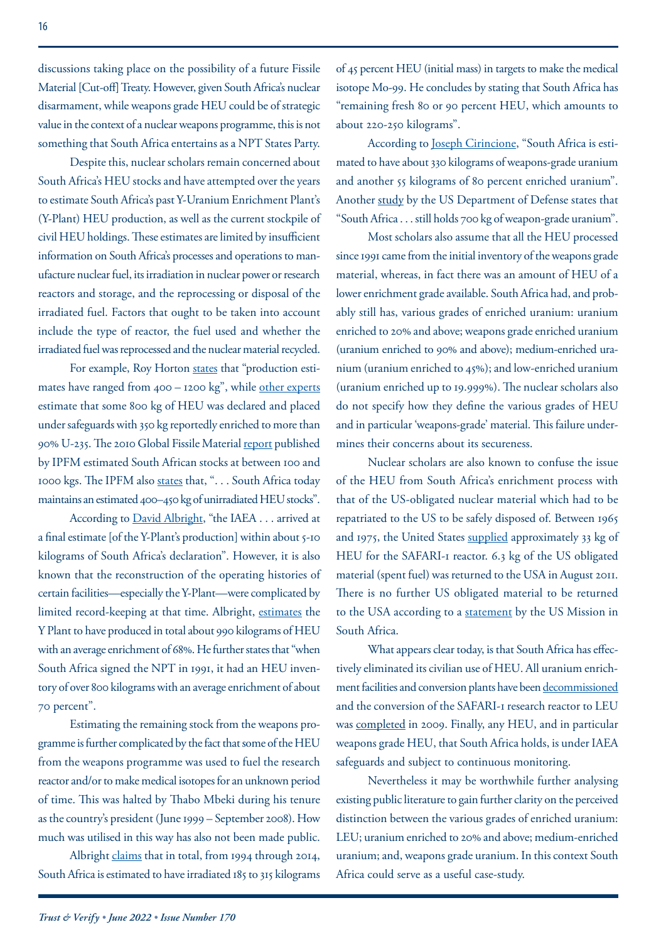discussions taking place on the possibility of a future Fissile Material [Cut-off] Treaty. However, given South Africa's nuclear disarmament, while weapons grade HEU could be of strategic value in the context of a nuclear weapons programme, this is not something that South Africa entertains as a NPT States Party.

Despite this, nuclear scholars remain concerned about South Africa's HEU stocks and have attempted over the years to estimate South Africa's past Y-Uranium Enrichment Plant's (Y-Plant) HEU production, as well as the current stockpile of civil HEU holdings. These estimates are limited by insufficient information on South Africa's processes and operations to manufacture nuclear fuel, its irradiation in nuclear power or research reactors and storage, and the reprocessing or disposal of the irradiated fuel. Factors that ought to be taken into account include the type of reactor, the fuel used and whether the irradiated fuel was reprocessed and the nuclear material recycled.

For example, Roy Horton [states](https://www.hsdl.org/?view&did=1141) that "production estimates have ranged from 400 – 1200 kg", while [other experts](https://nonproliferation.org/civilian-heu-south-africa/) estimate that some 800 kg of HEU was declared and placed under safeguards with 350 kg reportedly enriched to more than 90% U-235. The 2010 Global Fissile Material [report](https://fissilematerials.org/library/gfmr10.pdf) published by IPFM estimated South African stocks at between 100 and 1000 kgs. The IPFM also [states](http://ipfmlibrary.org/gfmr08cv.pdf) that, ". . . South Africa today maintains an estimated 400–450 kg of unirradiated HEU stocks".

According to **[David Albright](http://web.mit.edu/SSP/seminars/wed_archives01spring/albright.htm)**, "the IAEA . . . arrived at a final estimate [of the Y-Plant's production] within about 5-10 kilograms of South Africa's declaration". However, it is also known that the reconstruction of the operating histories of certain facilities—especially the Y-Plant—were complicated by limited record-keeping at that time. Albright, [estimates](https://isis-online.org/uploads/isis-reports/documents/Highly_Enriched_Uranium_Inventories_in_South_Africa_November_2015.pdf) the Y Plant to have produced in total about 990 kilograms of HEU with an average enrichment of 68%. He further states that "when South Africa signed the NPT in 1991, it had an HEU inventory of over 800 kilograms with an average enrichment of about 70 percent".

Estimating the remaining stock from the weapons programme is further complicated by the fact that some of the HEU from the weapons programme was used to fuel the research reactor and/or to make medical isotopes for an unknown period of time. This was halted by Thabo Mbeki during his tenure as the country's president (June 1999 – September 2008). How much was utilised in this way has also not been made public.

Albright [claims](https://isis-online.org/uploads/isis-reports/documents/Highly_Enriched_Uranium_Inventories_in_South_Africa_November_2015.pdf) that in total, from 1994 through 2014, South Africa is estimated to have irradiated 185 to 315 kilograms of 45 percent HEU (initial mass) in targets to make the medical isotope Mo-99. He concludes by stating that South Africa has "remaining fresh 80 or 90 percent HEU, which amounts to about 220-250 kilograms".

According to [Joseph Cirincione](https://carnegieendowment.org/2004/04/27/south-africa-s-nuclear-free-decade-pub-15279), "South Africa is estimated to have about 330 kilograms of weapons-grade uranium and another 55 kilograms of 80 percent enriched uranium". Another [study](https://apps.dtic.mil/sti/pdfs/ADA304720.pdf) by the US Department of Defense states that "South Africa . . . still holds 700 kg of weapon-grade uranium".

Most scholars also assume that all the HEU processed since 1991 came from the initial inventory of the weapons grade material, whereas, in fact there was an amount of HEU of a lower enrichment grade available. South Africa had, and probably still has, various grades of enriched uranium: uranium enriched to 20% and above; weapons grade enriched uranium (uranium enriched to 90% and above); medium-enriched uranium (uranium enriched to 45%); and low-enriched uranium (uranium enriched up to 19.999%). The nuclear scholars also do not specify how they define the various grades of HEU and in particular 'weapons-grade' material. This failure undermines their concerns about its secureness.

Nuclear scholars are also known to confuse the issue of the HEU from South Africa's enrichment process with that of the US-obligated nuclear material which had to be repatriated to the US to be safely disposed of. Between 1965 and 1975, the United States [supplied](https://nonproliferation.org/civilian-heu-south-africa/) approximately 33 kg of HEU for the SAFARI-1 reactor. 6.3 kg of the US obligated material (spent fuel) was returned to the USA in August 2011. There is no further US obligated material to be returned to the USA according to a [statement](https://za.usembassy.gov/ongoing-collaboration-between-the-u-s-national-nuclear-security-administration-and-south-africa/) by the [US Mission in](https://za.usembassy.gov/author/missionza/)  [South Africa.](https://za.usembassy.gov/author/missionza/)

What appears clear today, is that South Africa has effectively eliminated its civilian use of HEU. All uranium enrichment facilities and conversion plants have been [decommissioned](http://www.nnr.co.za/wp-content/uploads/2018/05/NNR-Joint-Report-WEB.pdf) and the conversion of the SAFARI-1 research reactor to LEU was [completed](http://www.necsa.co.za/services/safari1/) in 2009. Finally, any HEU, and in particular weapons grade HEU, that South Africa holds, is under IAEA safeguards and subject to continuous monitoring.

Nevertheless it may be worthwhile further analysing existing public literature to gain further clarity on the perceived distinction between the various grades of enriched uranium: LEU; uranium enriched to 20% and above; medium-enriched uranium; and, weapons grade uranium. In this context South Africa could serve as a useful case-study.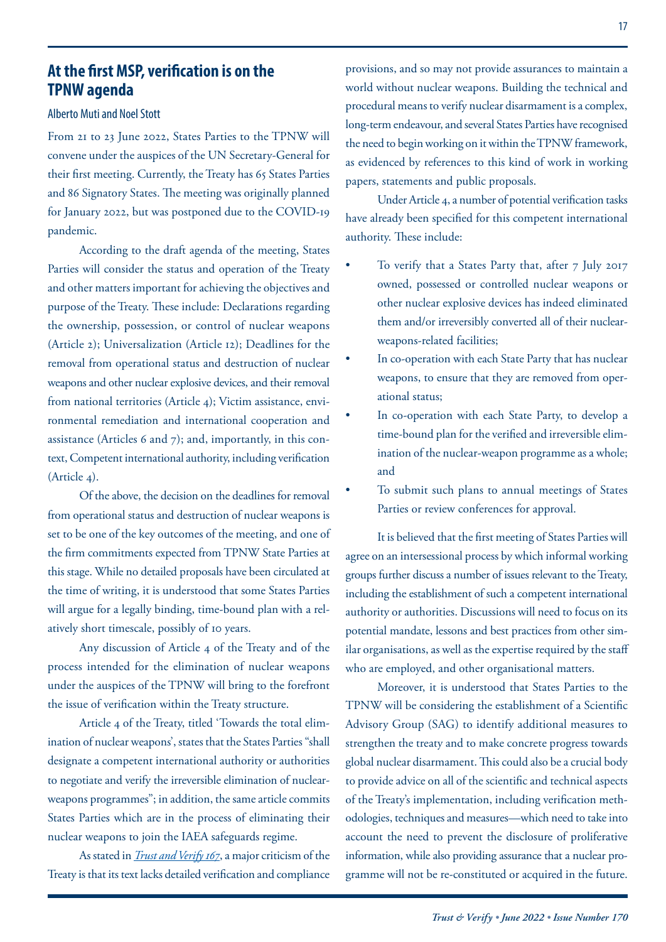## **At the first MSP, verification is on the TPNW agenda**

#### Alberto Muti and Noel Stott

From 21 to 23 June 2022, States Parties to the TPNW will convene under the auspices of the UN Secretary-General for their first meeting. Currently, the Treaty has 65 States Parties and 86 Signatory States. The meeting was originally planned for January 2022, but was postponed due to the COVID-19 pandemic.

According to the draft agenda of the meeting, States Parties will consider the status and operation of the Treaty and other matters important for achieving the objectives and purpose of the Treaty. These include: Declarations regarding the ownership, possession, or control of nuclear weapons (Article 2); Universalization (Article 12); Deadlines for the removal from operational status and destruction of nuclear weapons and other nuclear explosive devices, and their removal from national territories (Article 4); Victim assistance, environmental remediation and international cooperation and assistance (Articles 6 and 7); and, importantly, in this context, Competent international authority, including verification (Article 4).

Of the above, the decision on the deadlines for removal from operational status and destruction of nuclear weapons is set to be one of the key outcomes of the meeting, and one of the firm commitments expected from TPNW State Parties at this stage. While no detailed proposals have been circulated at the time of writing, it is understood that some States Parties will argue for a legally binding, time-bound plan with a relatively short timescale, possibly of 10 years.

Any discussion of Article 4 of the Treaty and of the process intended for the elimination of nuclear weapons under the auspices of the TPNW will bring to the forefront the issue of verification within the Treaty structure.

Article 4 of the Treaty, titled 'Towards the total elimination of nuclear weapons', states that the States Parties "shall designate a competent international authority or authorities to negotiate and verify the irreversible elimination of nuclearweapons programmes"; in addition, the same article commits States Parties which are in the process of eliminating their nuclear weapons to join the IAEA safeguards regime.

As stated in *[Trust and Verify 167](https://www.vertic.org/wp-content/uploads/2020/12/TV167-REV1-WEB.pdf)*, a major criticism of the Treaty is that its text lacks detailed verification and compliance provisions, and so may not provide assurances to maintain a world without nuclear weapons. Building the technical and procedural means to verify nuclear disarmament is a complex, long-term endeavour, and several States Parties have recognised the need to begin working on it within the TPNW framework, as evidenced by references to this kind of work in working papers, statements and public proposals.

Under Article 4, a number of potential verification tasks have already been specified for this competent international authority. These include:

- To verify that a States Party that, after 7 July 2017 owned, possessed or controlled nuclear weapons or other nuclear explosive devices has indeed eliminated them and/or irreversibly converted all of their nuclearweapons-related facilities;
- In co-operation with each State Party that has nuclear weapons, to ensure that they are removed from operational status;
- In co-operation with each State Party, to develop a time-bound plan for the verified and irreversible elimination of the nuclear-weapon programme as a whole; and
- To submit such plans to annual meetings of States Parties or review conferences for approval.

It is believed that the first meeting of States Parties will agree on an intersessional process by which informal working groups further discuss a number of issues relevant to the Treaty, including the establishment of such a competent international authority or authorities. Discussions will need to focus on its potential mandate, lessons and best practices from other similar organisations, as well as the expertise required by the staff who are employed, and other organisational matters.

Moreover, it is understood that States Parties to the TPNW will be considering the establishment of a Scientific Advisory Group (SAG) to identify additional measures to strengthen the treaty and to make concrete progress towards global nuclear disarmament. This could also be a crucial body to provide advice on all of the scientific and technical aspects of the Treaty's implementation, including verification methodologies, techniques and measures—which need to take into account the need to prevent the disclosure of proliferative information, while also providing assurance that a nuclear programme will not be re-constituted or acquired in the future.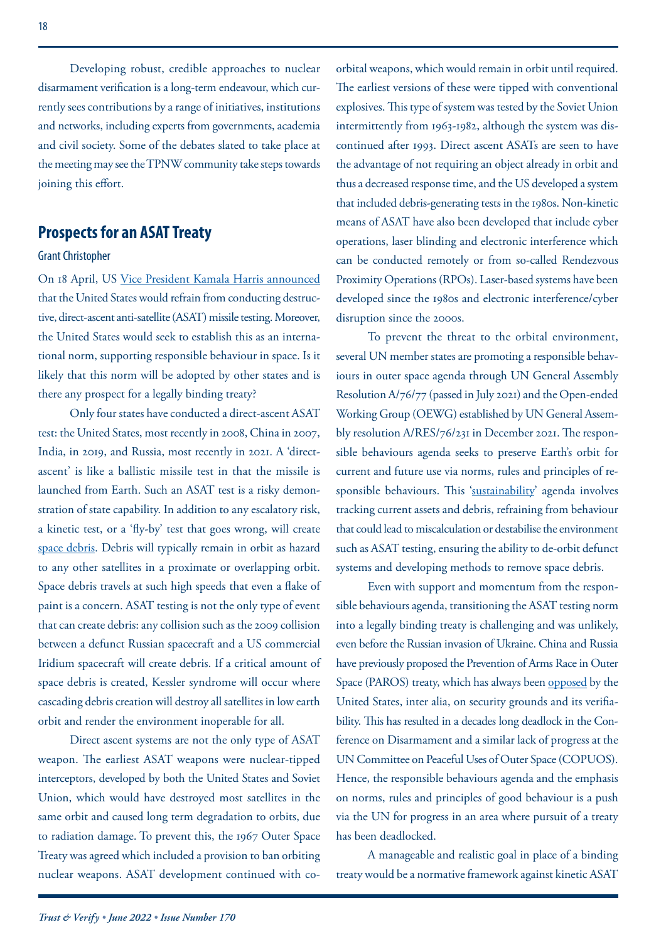Developing robust, credible approaches to nuclear disarmament verification is a long-term endeavour, which currently sees contributions by a range of initiatives, institutions and networks, including experts from governments, academia and civil society. Some of the debates slated to take place at the meeting may see the TPNW community take steps towards joining this effort.

## **Prospects for an ASAT Treaty**

#### Grant Christopher

On 18 April, US [Vice President Kamala Harris announced](https://www.whitehouse.gov/briefing-room/statements-releases/2022/04/18/fact-sheet-vice-president-harris-advances-national-security-norms-in-space/?msclkid=8bed6832cfa011ecb2d256a0fc22d83e) that the United States would refrain from conducting destructive, direct-ascent anti-satellite (ASAT) missile testing. Moreover, the United States would seek to establish this as an international norm, supporting responsible behaviour in space. Is it likely that this norm will be adopted by other states and is there any prospect for a legally binding treaty?

Only four states have conducted a direct-ascent ASAT test: the United States, most recently in 2008, China in 2007, India, in 2019, and Russia, most recently in 2021. A 'directascent' is like a ballistic missile test in that the missile is launched from Earth. Such an ASAT test is a risky demonstration of state capability. In addition to any escalatory risk, a kinetic test, or a 'fly-by' test that goes wrong, will create [space debris.](https://www.nasa.gov/mission_pages/station/news/orbital_debris.html) Debris will typically remain in orbit as hazard to any other satellites in a proximate or overlapping orbit. Space debris travels at such high speeds that even a flake of paint is a concern. ASAT testing is not the only type of event that can create debris: any collision such as the 2009 collision between a defunct Russian spacecraft and a US commercial Iridium spacecraft will create debris. If a critical amount of space debris is created, Kessler syndrome will occur where cascading debris creation will destroy all satellites in low earth orbit and render the environment inoperable for all.

Direct ascent systems are not the only type of ASAT weapon. The earliest ASAT weapons were nuclear-tipped interceptors, developed by both the United States and Soviet Union, which would have destroyed most satellites in the same orbit and caused long term degradation to orbits, due to radiation damage. To prevent this, the 1967 Outer Space Treaty was agreed which included a provision to ban orbiting nuclear weapons. ASAT development continued with coorbital weapons, which would remain in orbit until required. The earliest versions of these were tipped with conventional explosives. This type of system was tested by the Soviet Union intermittently from 1963-1982, although the system was discontinued after 1993. Direct ascent ASATs are seen to have the advantage of not requiring an object already in orbit and thus a decreased response time, and the US developed a system that included debris-generating tests in the 1980s. Non-kinetic means of ASAT have also been developed that include cyber operations, laser blinding and electronic interference which can be conducted remotely or from so-called Rendezvous Proximity Operations (RPOs). Laser-based systems have been developed since the 1980s and electronic interference/cyber disruption since the 2000s.

To prevent the threat to the orbital environment, several UN member states are promoting a responsible behaviours in outer space agenda through UN General Assembly Resolution A/76/77 (passed in July 2021) and the Open-ended Working Group (OEWG) established by UN General Assembly resolution A/RES/76/231 in December 2021. The responsible behaviours agenda seeks to preserve Earth's orbit for current and future use via norms, rules and principles of re-sponsible behaviours. This ['sustainability'](https://www.rand.org/blog/2022/04/united-states-decision-on-asat-testing-a-positive-step.html?msclkid=68ab5709cfa311eca22ebece8a69a5a9) agenda involves tracking current assets and debris, refraining from behaviour that could lead to miscalculation or destabilise the environment such as ASAT testing, ensuring the ability to de-orbit defunct systems and developing methods to remove space debris.

Even with support and momentum from the responsible behaviours agenda, transitioning the ASAT testing norm into a legally binding treaty is challenging and was unlikely, even before the Russian invasion of Ukraine. China and Russia have previously proposed the Prevention of Arms Race in Outer Space (PAROS) treaty, which has always been [opposed](https://geneva.usmission.gov/2021/06/01/remarks-by-ambassador-wood-for-the-session-on-the-prevention-of-an-arms-race-in-outer-space/) by the United States, inter alia, on security grounds and its verifiability. This has resulted in a decades long deadlock in the Conference on Disarmament and a similar lack of progress at the UN Committee on Peaceful Uses of Outer Space (COPUOS). Hence, the responsible behaviours agenda and the emphasis on norms, rules and principles of good behaviour is a push via the UN for progress in an area where pursuit of a treaty has been deadlocked.

A manageable and realistic goal in place of a binding treaty would be a normative framework against kinetic ASAT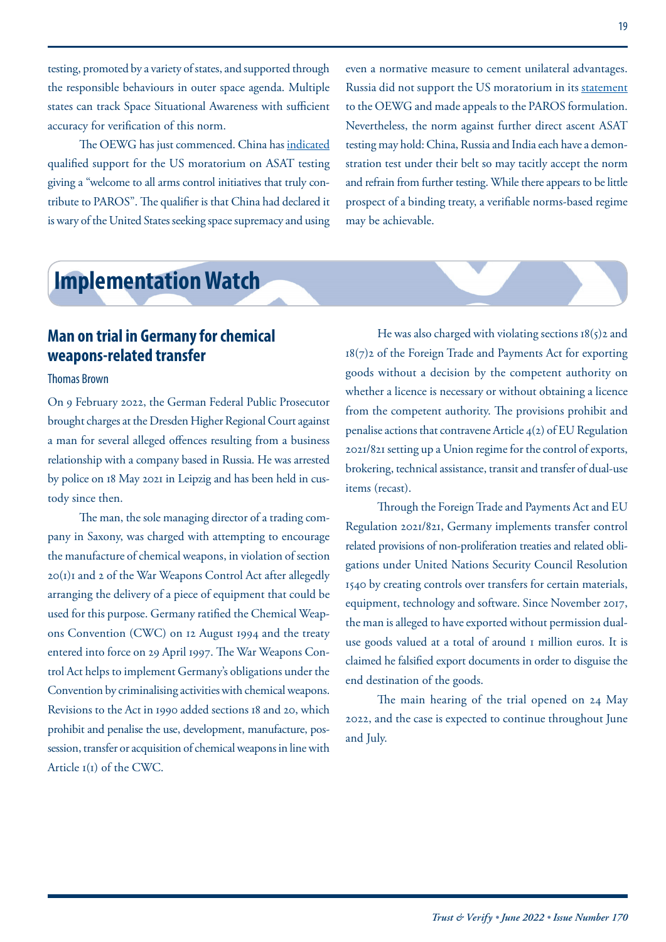<span id="page-18-0"></span>testing, promoted by a variety of states, and supported through the responsible behaviours in outer space agenda. Multiple states can track Space Situational Awareness with sufficient accuracy for verification of this norm.

The OEWG has just commenced. China has [indicated](https://documents.unoda.org/wp-content/uploads/2022/05/EN-Remarks-by-H.E.-Amb.-LI-Song-at-the-Space-OEWG.pdf) qualified support for the US moratorium on ASAT testing giving a "welcome to all arms control initiatives that truly contribute to PAROS". The qualifier is that China had declared it is wary of the United States seeking space supremacy and using even a normative measure to cement unilateral advantages. Russia did not support the US moratorium in its [statement](https://documents.unoda.org/wp-content/uploads/2022/05/220509-%D0%B2%D1%8B%D1%81%D1%82%D1%83%D0%BF%D0%BB%D0%B5%D0%BD%D0%B8%D0%B5.pdf) to the OEWG and made appeals to the PAROS formulation. Nevertheless, the norm against further direct ascent ASAT testing may hold: China, Russia and India each have a demonstration test under their belt so may tacitly accept the norm and refrain from further testing. While there appears to be little prospect of a binding treaty, a verifiable norms-based regime may be achievable.

# **Implementation Watch**

## **Man on trial in Germany for chemical weapons-related transfer**

### Thomas Brown

On 9 February 2022, the German Federal Public Prosecutor brought charges at the Dresden Higher Regional Court against a man for several alleged offences resulting from a business relationship with a company based in Russia. He was arrested by police on 18 May 2021 in Leipzig and has been held in custody since then.

The man, the sole managing director of a trading company in Saxony, was charged with attempting to encourage the manufacture of chemical weapons, in violation of section 20(1)1 and 2 of the War Weapons Control Act after allegedly arranging the delivery of a piece of equipment that could be used for this purpose. Germany ratified the Chemical Weapons Convention (CWC) on 12 August 1994 and the treaty entered into force on 29 April 1997. The War Weapons Control Act helps to implement Germany's obligations under the Convention by criminalising activities with chemical weapons. Revisions to the Act in 1990 added sections 18 and 20, which prohibit and penalise the use, development, manufacture, possession, transfer or acquisition of chemical weapons in line with Article 1(1) of the CWC.

He was also charged with violating sections  $18(5)$ 2 and 18(7)2 of the Foreign Trade and Payments Act for exporting goods without a decision by the competent authority on whether a licence is necessary or without obtaining a licence from the competent authority. The provisions prohibit and penalise actions that contravene Article 4(2) of EU Regulation 2021/821 setting up a Union regime for the control of exports, brokering, technical assistance, transit and transfer of dual-use items (recast).

Through the Foreign Trade and Payments Act and EU Regulation 2021/821, Germany implements transfer control related provisions of non-proliferation treaties and related obligations under United Nations Security Council Resolution 1540 by creating controls over transfers for certain materials, equipment, technology and software. Since November 2017, the man is alleged to have exported without permission dualuse goods valued at a total of around 1 million euros. It is claimed he falsified export documents in order to disguise the end destination of the goods.

The main hearing of the trial opened on 24 May 2022, and the case is expected to continue throughout June and July.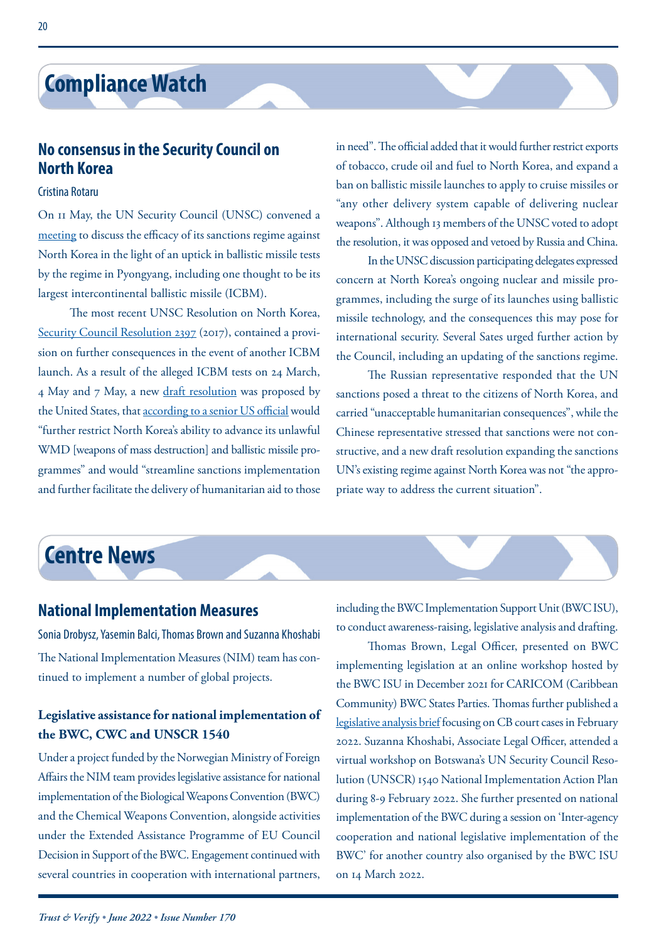# <span id="page-19-0"></span>**Compliance Watch**

## **No consensus in the Security Council on North Korea**

### Cristina Rotaru

On 11 May, the UN Security Council (UNSC) convened a [meeting](https://www.un.org/press/en/2022/sc14887.doc.htm) to discuss the efficacy of its sanctions regime against North Korea in the light of an uptick in ballistic missile tests by the regime in Pyongyang, including one thought to be its largest intercontinental ballistic missile (ICBM).

The most recent UNSC Resolution on North Korea, [Security Council Resolution 2397](https://www.un.org/securitycouncil/s/res/2397-%282017%29) (2017), contained a provision on further consequences in the event of another ICBM launch. As a result of the alleged ICBM tests on 24 March, 4 May and 7 May, a new [draft resolution](https://documents-dds-ny.un.org/doc/UNDOC/GEN/N22/363/92/pdf/N2236392.pdf?OpenElement) was proposed by the United States, that [according to a senior US official](https://www.aljazeera.com/news/2022/5/26/un-security-council-sets-vote-on-tougher-north-korea-sanctions) would "further restrict North Korea's ability to advance its unlawful WMD [weapons of mass destruction] and ballistic missile programmes" and would "streamline sanctions implementation and further facilitate the delivery of humanitarian aid to those

in need". The official added that it would further restrict exports of tobacco, crude oil and fuel to North Korea, and expand a ban on ballistic missile launches to apply to cruise missiles or "any other delivery system capable of delivering nuclear weapons". Although 13 members of the UNSC voted to adopt the resolution, it was opposed and vetoed by Russia and China.

In the UNSC discussion participating delegates expressed concern at North Korea's ongoing nuclear and missile programmes, including the surge of its launches using ballistic missile technology, and the consequences this may pose for international security. Several Sates urged further action by the Council, including an updating of the sanctions regime.

The Russian representative responded that the UN sanctions posed a threat to the citizens of North Korea, and carried "unacceptable humanitarian consequences", while the Chinese representative stressed that sanctions were not constructive, and a new draft resolution expanding the sanctions UN's existing regime against North Korea was not "the appropriate way to address the current situation".

# **Centre News**

## **National Implementation Measures**

Sonia Drobysz, Yasemin Balci, Thomas Brown and Suzanna Khoshabi The National Implementation Measures (NIM) team has continued to implement a number of global projects.

## **Legislative assistance for national implementation of the BWC, CWC and UNSCR 1540**

Under a project funded by the Norwegian Ministry of Foreign Affairs the NIM team provides legislative assistance for national implementation of the Biological Weapons Convention (BWC) and the Chemical Weapons Convention, alongside activities under the Extended Assistance Programme of EU Council Decision in Support of the BWC. Engagement continued with several countries in cooperation with international partners,

including the BWC Implementation Support Unit (BWC ISU), to conduct awareness-raising, legislative analysis and drafting.

Thomas Brown, Legal Officer, presented on BWC implementing legislation at an online workshop hosted by the BWC ISU in December 2021 for CARICOM (Caribbean Community) BWC States Parties. Thomas further published a [legislative analysis brief](https://www.vertic.org/wp-content/uploads/2022/02/VERTIC-Brief-34_TB_final.pdf) focusing on CB court cases in February 2022. Suzanna Khoshabi, Associate Legal Officer, attended a virtual workshop on Botswana's UN Security Council Resolution (UNSCR) 1540 National Implementation Action Plan during 8-9 February 2022. She further presented on national implementation of the BWC during a session on 'Inter-agency cooperation and national legislative implementation of the BWC' for another country also organised by the BWC ISU on 14 March 2022.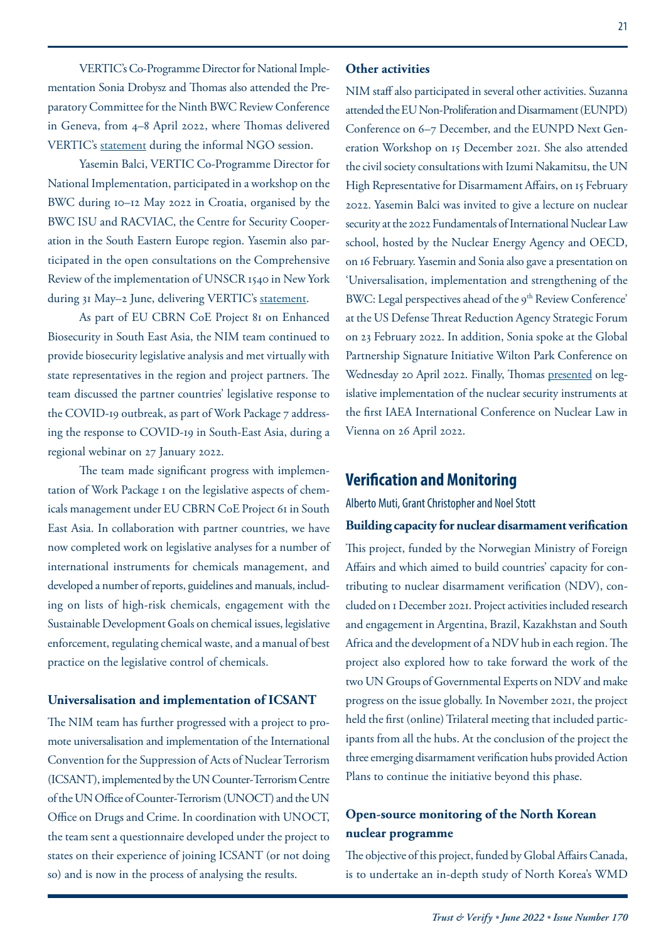VERTIC's Co-Programme Director for National Implementation Sonia Drobysz and Thomas also attended the Preparatory Committee for the Ninth BWC Review Conference in Geneva, from 4–8 April 2022, where Thomas delivered VERTIC's [statement](https://www.vertic.org/wp-content/uploads/2022/04/VERTIC-statement_FINAL.pdf) during the informal NGO session.

Yasemin Balci, VERTIC Co-Programme Director for National Implementation, participated in a workshop on the BWC during 10–12 May 2022 in Croatia, organised by the BWC ISU and RACVIAC, the Centre for Security Cooperation in the South Eastern Europe region. Yasemin also participated in the open consultations on the Comprehensive Review of the implementation of UNSCR 1540 in New York during 31 May-2 June, delivering VERTIC's [statement.](https://www.vertic.org/wp-content/uploads/2022/06/1540CR_VERTIC-Statement_FINAL.pdf)

As part of EU CBRN CoE Project 81 on Enhanced Biosecurity in South East Asia, the NIM team continued to provide biosecurity legislative analysis and met virtually with state representatives in the region and project partners. The team discussed the partner countries' legislative response to the COVID-19 outbreak, as part of Work Package 7 addressing the response to COVID-19 in South-East Asia, during a regional webinar on 27 January 2022.

The team made significant progress with implementation of Work Package 1 on the legislative aspects of chemicals management under EU CBRN CoE Project 61 in South East Asia. In collaboration with partner countries, we have now completed work on legislative analyses for a number of international instruments for chemicals management, and developed a number of reports, guidelines and manuals, including on lists of high-risk chemicals, engagement with the Sustainable Development Goals on chemical issues, legislative enforcement, regulating chemical waste, and a manual of best practice on the legislative control of chemicals.

#### **Universalisation and implementation of ICSANT**

The NIM team has further progressed with a project to promote universalisation and implementation of the International Convention for the Suppression of Acts of Nuclear Terrorism (ICSANT), implemented by the UN Counter-Terrorism Centre of the UN Office of Counter-Terrorism (UNOCT) and the UN Office on Drugs and Crime. In coordination with UNOCT, the team sent a questionnaire developed under the project to states on their experience of joining ICSANT (or not doing so) and is now in the process of analysing the results.

#### **Other activities**

NIM staff also participated in several other activities. Suzanna attended the EU Non-Proliferation and Disarmament (EUNPD) Conference on 6–7 December, and the EUNPD Next Generation Workshop on 15 December 2021. She also attended the civil society consultations with Izumi Nakamitsu, the UN High Representative for Disarmament Affairs, on 15 February 2022. Yasemin Balci was invited to give a lecture on nuclear security at the 2022 Fundamentals of International Nuclear Law school, hosted by the Nuclear Energy Agency and OECD, on 16 February. Yasemin and Sonia also gave a presentation on 'Universalisation, implementation and strengthening of the BWC: Legal perspectives ahead of the 9<sup>th</sup> Review Conference' at the US Defense Threat Reduction Agency Strategic Forum on 23 February 2022. In addition, Sonia spoke at the Global Partnership Signature Initiative Wilton Park Conference on Wednesday 20 April 2022. Finally, Thomas [presented](https://www.vertic.org/wp-content/uploads/2022/05/Legislative-implementation-of-nuclear-security-international-instruments-in-Practice.pptx) on legislative implementation of the nuclear security instruments at the first IAEA International Conference on Nuclear Law in Vienna on 26 April 2022.

## **Verification and Monitoring**

Alberto Muti, Grant Christopher and Noel Stott

**Building capacity for nuclear disarmament verification** This project, funded by the Norwegian Ministry of Foreign Affairs and which aimed to build countries' capacity for contributing to nuclear disarmament verification (NDV), concluded on 1 December 2021. Project activities included research and engagement in Argentina, Brazil, Kazakhstan and South Africa and the development of a NDV hub in each region. The project also explored how to take forward the work of the two UN Groups of Governmental Experts on NDV and make progress on the issue globally. In November 2021, the project held the first (online) Trilateral meeting that included participants from all the hubs. At the conclusion of the project the three emerging disarmament verification hubs provided Action Plans to continue the initiative beyond this phase.

## **Open-source monitoring of the North Korean nuclear programme**

The objective of this project, funded by Global Affairs Canada, is to undertake an in-depth study of North Korea's WMD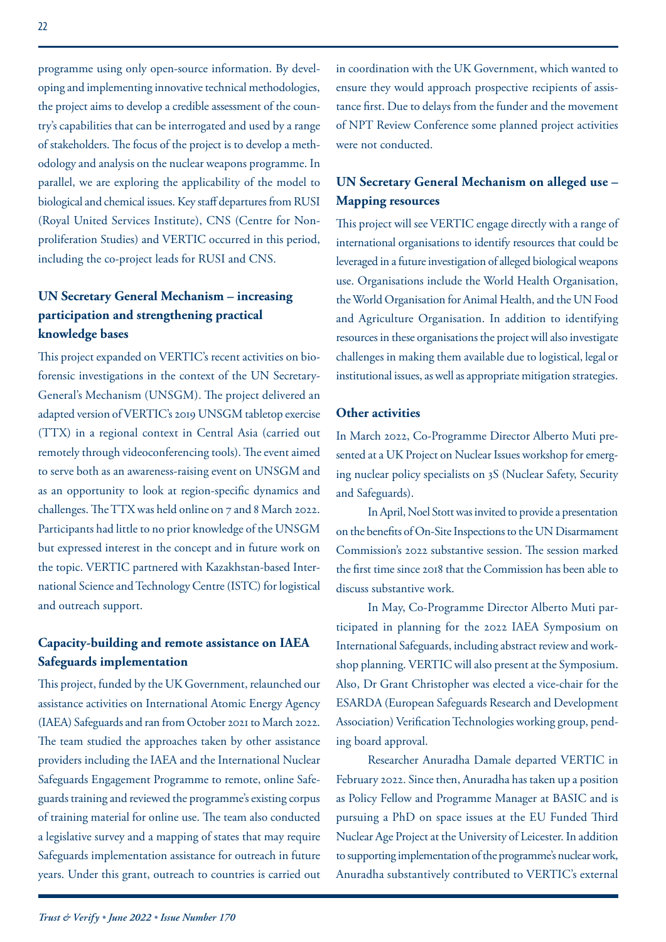programme using only open-source information. By developing and implementing innovative technical methodologies, the project aims to develop a credible assessment of the country's capabilities that can be interrogated and used by a range of stakeholders. The focus of the project is to develop a methodology and analysis on the nuclear weapons programme. In parallel, we are exploring the applicability of the model to biological and chemical issues. Key staff departures from RUSI (Royal United Services Institute), CNS (Centre for Nonproliferation Studies) and VERTIC occurred in this period, including the co-project leads for RUSI and CNS.

## **UN Secretary General Mechanism – increasing participation and strengthening practical knowledge bases**

This project expanded on VERTIC's recent activities on bioforensic investigations in the context of the UN Secretary-General's Mechanism (UNSGM). The project delivered an adapted version of VERTIC's 2019 UNSGM tabletop exercise (TTX) in a regional context in Central Asia (carried out remotely through videoconferencing tools). The event aimed to serve both as an awareness-raising event on UNSGM and as an opportunity to look at region-specific dynamics and challenges. The TTX was held online on 7 and 8 March 2022. Participants had little to no prior knowledge of the UNSGM but expressed interest in the concept and in future work on the topic. VERTIC partnered with Kazakhstan-based International Science and Technology Centre (ISTC) for logistical and outreach support.

## **Capacity-building and remote assistance on IAEA Safeguards implementation**

This project, funded by the UK Government, relaunched our assistance activities on International Atomic Energy Agency (IAEA) Safeguards and ran from October 2021 to March 2022. The team studied the approaches taken by other assistance providers including the IAEA and the International Nuclear Safeguards Engagement Programme to remote, online Safeguards training and reviewed the programme's existing corpus of training material for online use. The team also conducted a legislative survey and a mapping of states that may require Safeguards implementation assistance for outreach in future years. Under this grant, outreach to countries is carried out in coordination with the UK Government, which wanted to ensure they would approach prospective recipients of assistance first. Due to delays from the funder and the movement of NPT Review Conference some planned project activities were not conducted.

## **UN Secretary General Mechanism on alleged use – Mapping resources**

This project will see VERTIC engage directly with a range of international organisations to identify resources that could be leveraged in a future investigation of alleged biological weapons use. Organisations include the World Health Organisation, the World Organisation for Animal Health, and the UN Food and Agriculture Organisation. In addition to identifying resources in these organisations the project will also investigate challenges in making them available due to logistical, legal or institutional issues, as well as appropriate mitigation strategies.

## **Other activities**

In March 2022, Co-Programme Director Alberto Muti presented at a UK Project on Nuclear Issues workshop for emerging nuclear policy specialists on 3S (Nuclear Safety, Security and Safeguards).

In April, Noel Stott was invited to provide a presentation on the benefits of On-Site Inspections to the UN Disarmament Commission's 2022 substantive session. The session marked the first time since 2018 that the Commission has been able to discuss substantive work.

In May, Co-Programme Director Alberto Muti participated in planning for the 2022 IAEA Symposium on International Safeguards, including abstract review and workshop planning. VERTIC will also present at the Symposium. Also, Dr Grant Christopher was elected a vice-chair for the ESARDA (European Safeguards Research and Development Association) Verification Technologies working group, pending board approval.

Researcher Anuradha Damale departed VERTIC in February 2022. Since then, Anuradha has taken up a position as Policy Fellow and Programme Manager at BASIC and is pursuing a PhD on space issues at the EU Funded Third Nuclear Age Project at the University of Leicester. In addition to supporting implementation of the programme's nuclear work, Anuradha substantively contributed to VERTIC's external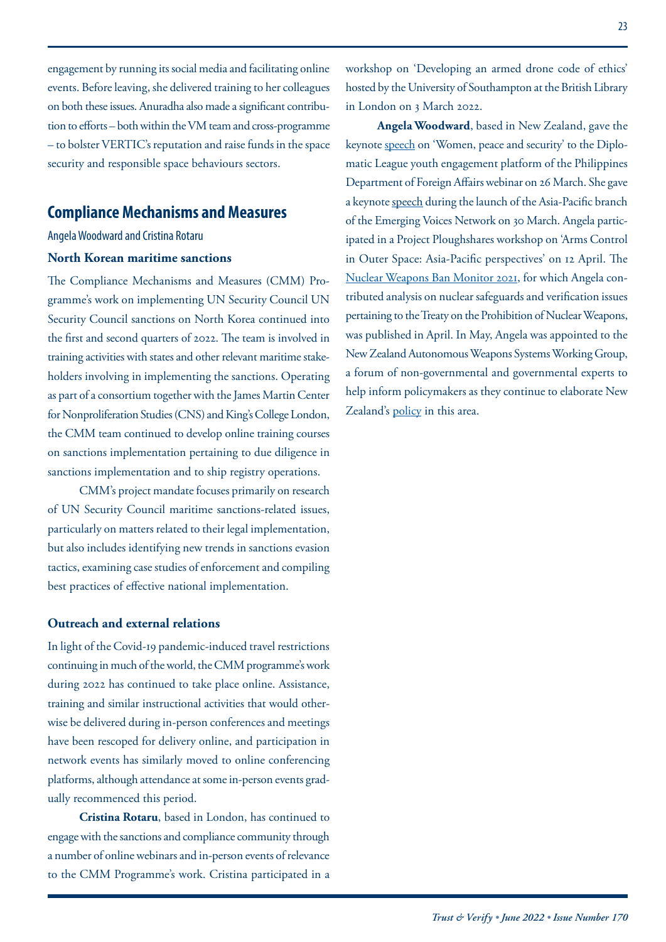engagement by running its social media and facilitating online events. Before leaving, she delivered training to her colleagues on both these issues. Anuradha also made a significant contribution to efforts – both within the VM team and cross-programme – to bolster VERTIC's reputation and raise funds in the space security and responsible space behaviours sectors.

## **Compliance Mechanisms and Measures**

#### Angela Woodward and Cristina Rotaru

### **North Korean maritime sanctions**

The Compliance Mechanisms and Measures (CMM) Programme's work on implementing UN Security Council UN Security Council sanctions on North Korea continued into the first and second quarters of 2022. The team is involved in training activities with states and other relevant maritime stakeholders involving in implementing the sanctions. Operating as part of a consortium together with the James Martin Center for Nonproliferation Studies (CNS) and King's College London, the CMM team continued to develop online training courses on sanctions implementation pertaining to due diligence in sanctions implementation and to ship registry operations.

CMM's project mandate focuses primarily on research of UN Security Council maritime sanctions-related issues, particularly on matters related to their legal implementation, but also includes identifying new trends in sanctions evasion tactics, examining case studies of enforcement and compiling best practices of effective national implementation.

#### **Outreach and external relations**

In light of the Covid-19 pandemic-induced travel restrictions continuing in much of the world, the CMM programme's work during 2022 has continued to take place online. Assistance, training and similar instructional activities that would otherwise be delivered during in-person conferences and meetings have been rescoped for delivery online, and participation in network events has similarly moved to online conferencing platforms, although attendance at some in-person events gradually recommenced this period.

**Cristina Rotaru**, based in London, has continued to engage with the sanctions and compliance community through a number of online webinars and in-person events of relevance to the CMM Programme's work. Cristina participated in a

workshop on 'Developing an armed drone code of ethics' hosted by the University of Southampton at the British Library in London on 3 March 2022.

**Angela Woodward**, based in New Zealand, gave the keynote [speech](https://www.facebook.com/DiplomaticLeague/videos/1134576980711153) on 'Women, peace and security' to the Diplomatic League youth engagement platform of the Philippines Department of Foreign Affairs webinar on 26 March. She gave a keynote speech during the launch of the Asia-Pacific branch of the Emerging Voices Network on 30 March. Angela participated in a Project Ploughshares workshop on 'Arms Control in Outer Space: Asia-Pacific perspectives' on 12 April. The [Nuclear Weapons Ban Monitor 2021,](https://banmonitor.org/#:~:text=The%20TPNW%20has%20entered%20into,efforts%20to%20eliminate%20nuclear%20weapons.) for which Angela contributed analysis on nuclear safeguards and verification issues pertaining to the Treaty on the Prohibition of Nuclear Weapons, was published in April. In May, Angela was appointed to the New Zealand Autonomous Weapons Systems Working Group, a forum of non-governmental and governmental experts to help inform policymakers as they continue to elaborate New Zealand's [policy](https://www.mfat.govt.nz/assets/OIA/OIA-2021-22/AWS-New-Zealand-Policy-Position.pdf) in this area.